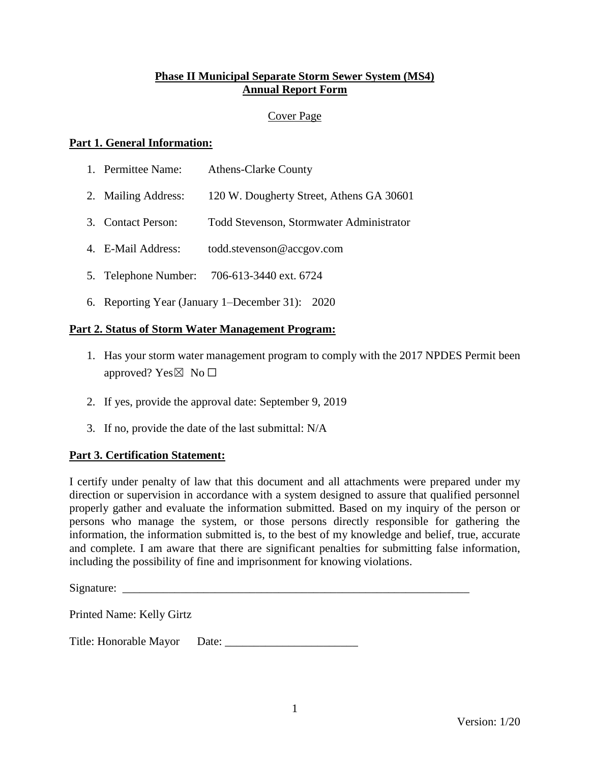## **Phase II Municipal Separate Storm Sewer System (MS4) Annual Report Form**

## Cover Page

#### **Part 1. General Information:**

| Permittee Name: | <b>Athens-Clarke County</b> |
|-----------------|-----------------------------|
|                 |                             |

- 2. Mailing Address: 120 W. Dougherty Street, Athens GA 30601
- 3. Contact Person: Todd Stevenson, Stormwater Administrator
- 4. E-Mail Address: todd.stevenson@accgov.com
- 5. Telephone Number: 706-613-3440 ext. 6724
- 6. Reporting Year (January 1–December 31): 2020

## **Part 2. Status of Storm Water Management Program:**

- 1. Has your storm water management program to comply with the 2017 NPDES Permit been approved? Yes $\boxtimes$  No  $\square$
- 2. If yes, provide the approval date: September 9, 2019
- 3. If no, provide the date of the last submittal: N/A

#### **Part 3. Certification Statement:**

I certify under penalty of law that this document and all attachments were prepared under my direction or supervision in accordance with a system designed to assure that qualified personnel properly gather and evaluate the information submitted. Based on my inquiry of the person or persons who manage the system, or those persons directly responsible for gathering the information, the information submitted is, to the best of my knowledge and belief, true, accurate and complete. I am aware that there are significant penalties for submitting false information, including the possibility of fine and imprisonment for knowing violations.

Signature:

Printed Name: Kelly Girtz

Title: Honorable Mayor Date: \_\_\_\_\_\_\_\_\_\_\_\_\_\_\_\_\_\_\_\_\_\_\_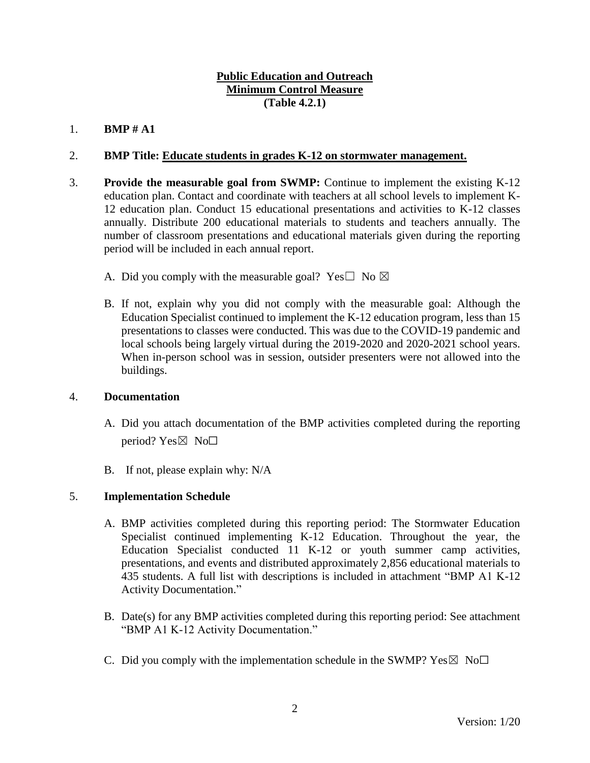## **Public Education and Outreach Minimum Control Measure (Table 4.2.1)**

# 1. **BMP # A1**

## 2. **BMP Title: Educate students in grades K-12 on stormwater management.**

- 3. **Provide the measurable goal from SWMP:** Continue to implement the existing K-12 education plan. Contact and coordinate with teachers at all school levels to implement K-12 education plan. Conduct 15 educational presentations and activities to K-12 classes annually. Distribute 200 educational materials to students and teachers annually. The number of classroom presentations and educational materials given during the reporting period will be included in each annual report.
	- A. Did you comply with the measurable goal? Yes $\square$  No  $\boxtimes$
	- B. If not, explain why you did not comply with the measurable goal: Although the Education Specialist continued to implement the K-12 education program, less than 15 presentations to classes were conducted. This was due to the COVID-19 pandemic and local schools being largely virtual during the 2019-2020 and 2020-2021 school years. When in-person school was in session, outsider presenters were not allowed into the buildings.

#### 4. **Documentation**

- A. Did you attach documentation of the BMP activities completed during the reporting period? Yes $\boxtimes$  No $\square$
- B. If not, please explain why: N/A

## 5. **Implementation Schedule**

- A. BMP activities completed during this reporting period: The Stormwater Education Specialist continued implementing K-12 Education. Throughout the year, the Education Specialist conducted 11 K-12 or youth summer camp activities, presentations, and events and distributed approximately 2,856 educational materials to 435 students. A full list with descriptions is included in attachment "BMP A1 K-12 Activity Documentation."
- B. Date(s) for any BMP activities completed during this reporting period: See attachment "BMP A1 K-12 Activity Documentation."
- C. Did you comply with the implementation schedule in the SWMP?  $Yes \boxtimes No \square$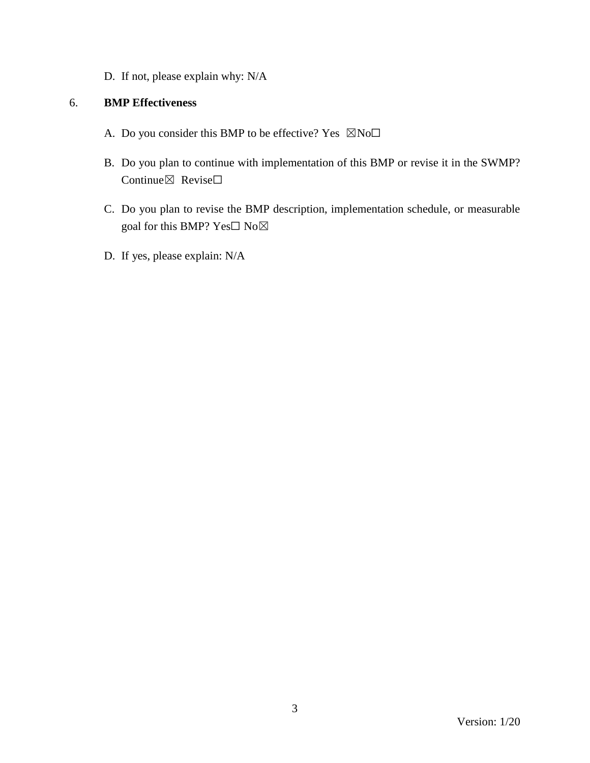D. If not, please explain why: N/A

- A. Do you consider this BMP to be effective? Yes  $\boxtimes$ No $\square$
- B. Do you plan to continue with implementation of this BMP or revise it in the SWMP? Continue⊠ Revise□
- C. Do you plan to revise the BMP description, implementation schedule, or measurable goal for this BMP? Yes□ No⊠
- D. If yes, please explain: N/A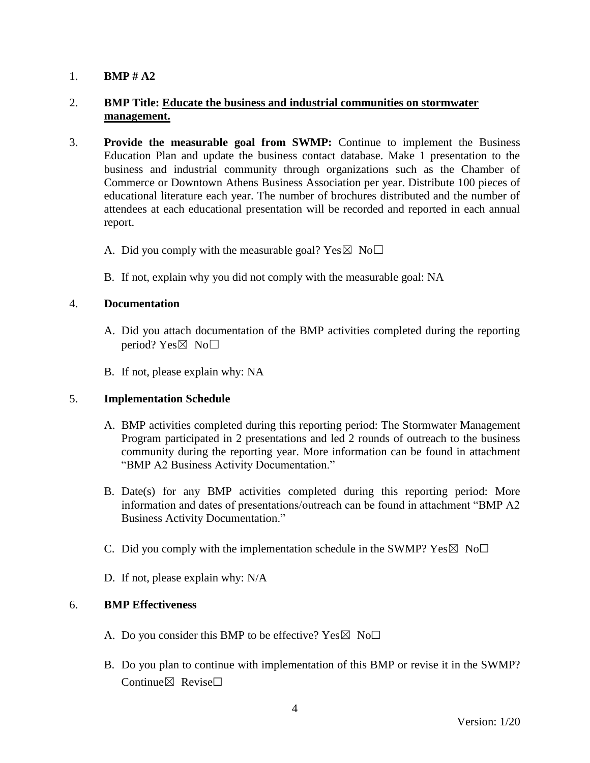## 2. **BMP Title: Educate the business and industrial communities on stormwater management.**

- 3. **Provide the measurable goal from SWMP:** Continue to implement the Business Education Plan and update the business contact database. Make 1 presentation to the business and industrial community through organizations such as the Chamber of Commerce or Downtown Athens Business Association per year. Distribute 100 pieces of educational literature each year. The number of brochures distributed and the number of attendees at each educational presentation will be recorded and reported in each annual report.
	- A. Did you comply with the measurable goal? Yes  $\boxtimes$  No $\Box$
	- B. If not, explain why you did not comply with the measurable goal: NA

## 4. **Documentation**

- A. Did you attach documentation of the BMP activities completed during the reporting period? Yes $\boxtimes$  No $\square$
- B. If not, please explain why: NA

#### 5. **Implementation Schedule**

- A. BMP activities completed during this reporting period: The Stormwater Management Program participated in 2 presentations and led 2 rounds of outreach to the business community during the reporting year. More information can be found in attachment "BMP A2 Business Activity Documentation."
- B. Date(s) for any BMP activities completed during this reporting period: More information and dates of presentations/outreach can be found in attachment "BMP A2 Business Activity Documentation."
- C. Did you comply with the implementation schedule in the SWMP?  $Yes \boxtimes No \Box$
- D. If not, please explain why: N/A

- A. Do you consider this BMP to be effective? Yes  $\boxtimes$  No $\Box$
- B. Do you plan to continue with implementation of this BMP or revise it in the SWMP? Continue $\nabla$  Revise $\nabla$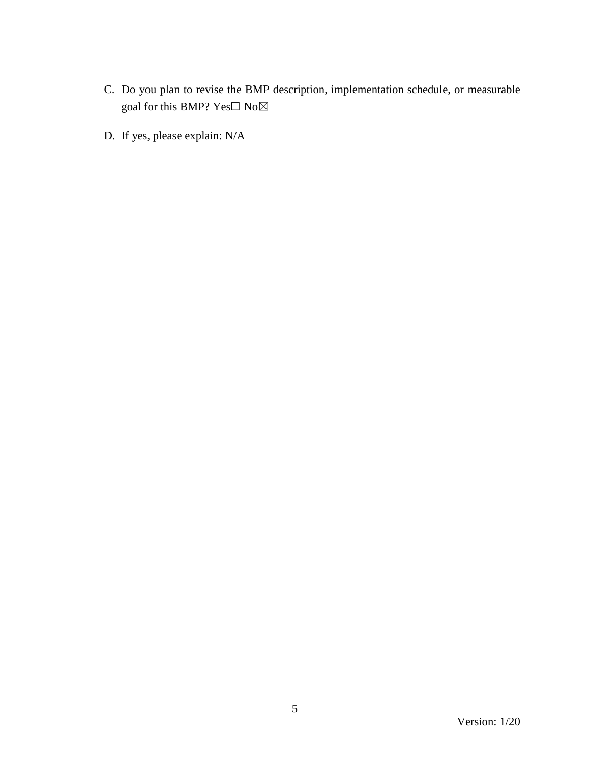- C. Do you plan to revise the BMP description, implementation schedule, or measurable goal for this BMP? Yes $\Box$  No $\boxtimes$
- D. If yes, please explain: N/A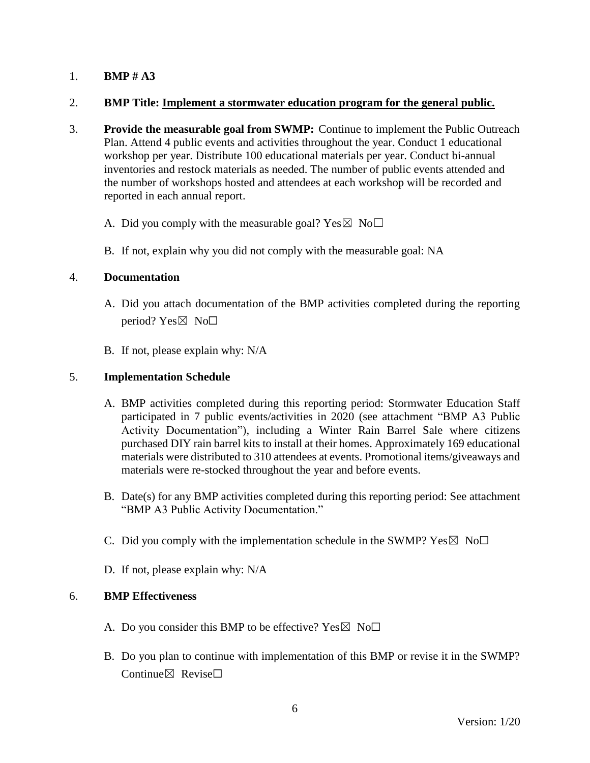#### 2. **BMP Title: Implement a stormwater education program for the general public.**

- 3. **Provide the measurable goal from SWMP:** Continue to implement the Public Outreach Plan. Attend 4 public events and activities throughout the year. Conduct 1 educational workshop per year. Distribute 100 educational materials per year. Conduct bi-annual inventories and restock materials as needed. The number of public events attended and the number of workshops hosted and attendees at each workshop will be recorded and reported in each annual report.
	- A. Did you comply with the measurable goal? Yes  $\boxtimes$  No $\Box$
	- B. If not, explain why you did not comply with the measurable goal: NA

## 4. **Documentation**

- A. Did you attach documentation of the BMP activities completed during the reporting period? Yes $\boxtimes$  No $\square$
- B. If not, please explain why: N/A

## 5. **Implementation Schedule**

- A. BMP activities completed during this reporting period: Stormwater Education Staff participated in 7 public events/activities in 2020 (see attachment "BMP A3 Public Activity Documentation"), including a Winter Rain Barrel Sale where citizens purchased DIY rain barrel kits to install at their homes. Approximately 169 educational materials were distributed to 310 attendees at events. Promotional items/giveaways and materials were re-stocked throughout the year and before events.
- B. Date(s) for any BMP activities completed during this reporting period: See attachment "BMP A3 Public Activity Documentation."
- C. Did you comply with the implementation schedule in the SWMP?  $Yes \boxtimes No \Box$
- D. If not, please explain why: N/A

- A. Do you consider this BMP to be effective? Yes  $\boxtimes$  No $\Box$
- B. Do you plan to continue with implementation of this BMP or revise it in the SWMP? Continue $\boxtimes$  Revise $\Box$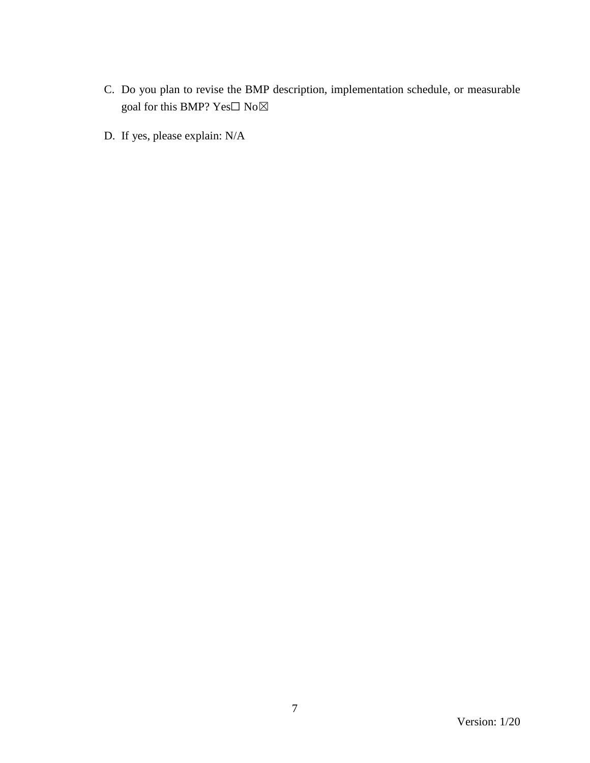- C. Do you plan to revise the BMP description, implementation schedule, or measurable goal for this BMP? Yes $\Box$  No $\boxtimes$
- D. If yes, please explain: N/A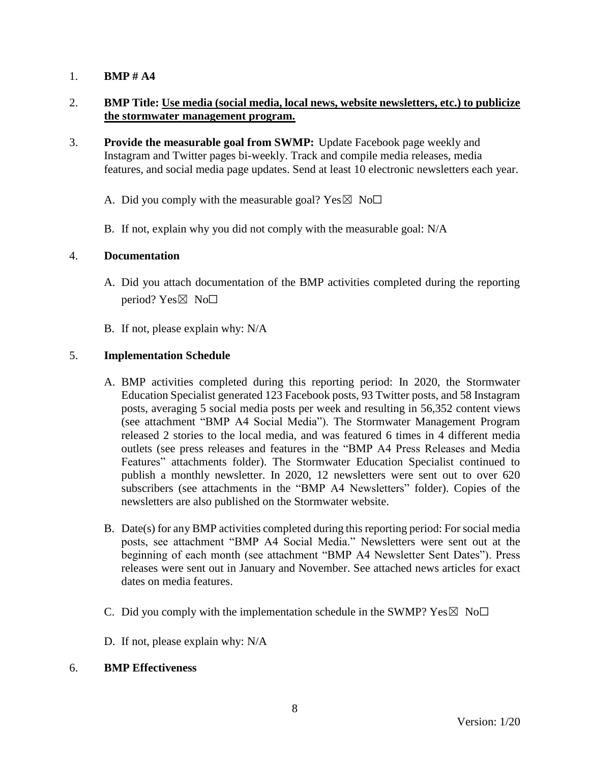## 2. **BMP Title: Use media (social media, local news, website newsletters, etc.) to publicize the stormwater management program.**

- 3. **Provide the measurable goal from SWMP:** Update Facebook page weekly and Instagram and Twitter pages bi-weekly. Track and compile media releases, media features, and social media page updates. Send at least 10 electronic newsletters each year.
	- A. Did you comply with the measurable goal? Yes  $\boxtimes$  No $\Box$
	- B. If not, explain why you did not comply with the measurable goal: N/A

#### 4. **Documentation**

- A. Did you attach documentation of the BMP activities completed during the reporting period? Yes $\boxtimes$  No $\square$
- B. If not, please explain why: N/A

## 5. **Implementation Schedule**

- A. BMP activities completed during this reporting period: In 2020, the Stormwater Education Specialist generated 123 Facebook posts, 93 Twitter posts, and 58 Instagram posts, averaging 5 social media posts per week and resulting in 56,352 content views (see attachment "BMP A4 Social Media"). The Stormwater Management Program released 2 stories to the local media, and was featured 6 times in 4 different media outlets (see press releases and features in the "BMP A4 Press Releases and Media Features" attachments folder). The Stormwater Education Specialist continued to publish a monthly newsletter. In 2020, 12 newsletters were sent out to over 620 subscribers (see attachments in the "BMP A4 Newsletters" folder). Copies of the newsletters are also published on the Stormwater website.
- B. Date(s) for any BMP activities completed during this reporting period: For social media posts, see attachment "BMP A4 Social Media." Newsletters were sent out at the beginning of each month (see attachment "BMP A4 Newsletter Sent Dates"). Press releases were sent out in January and November. See attached news articles for exact dates on media features.
- C. Did you comply with the implementation schedule in the SWMP?  $Yes \boxtimes No\square$
- D. If not, please explain why: N/A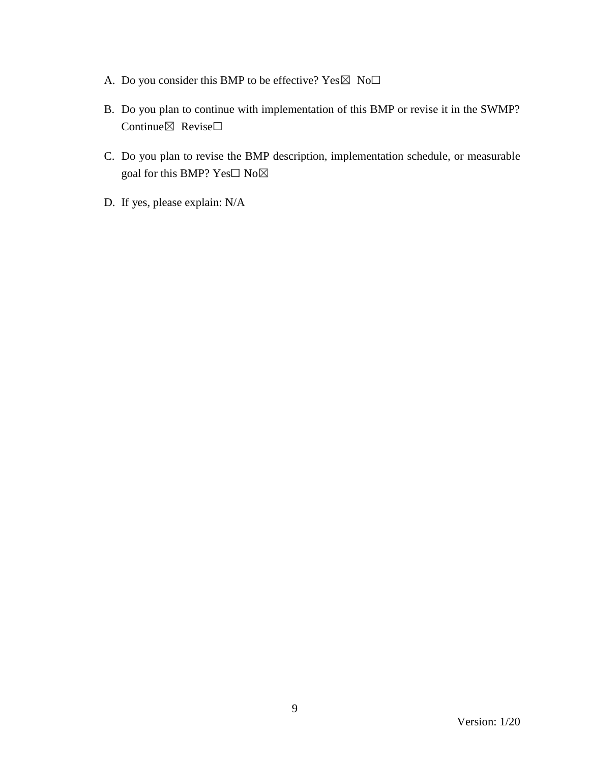- A. Do you consider this BMP to be effective?  $Yes \boxtimes No\square$
- B. Do you plan to continue with implementation of this BMP or revise it in the SWMP? Continue⊠ Revise□
- C. Do you plan to revise the BMP description, implementation schedule, or measurable goal for this BMP? Yes□ No⊠
- D. If yes, please explain: N/A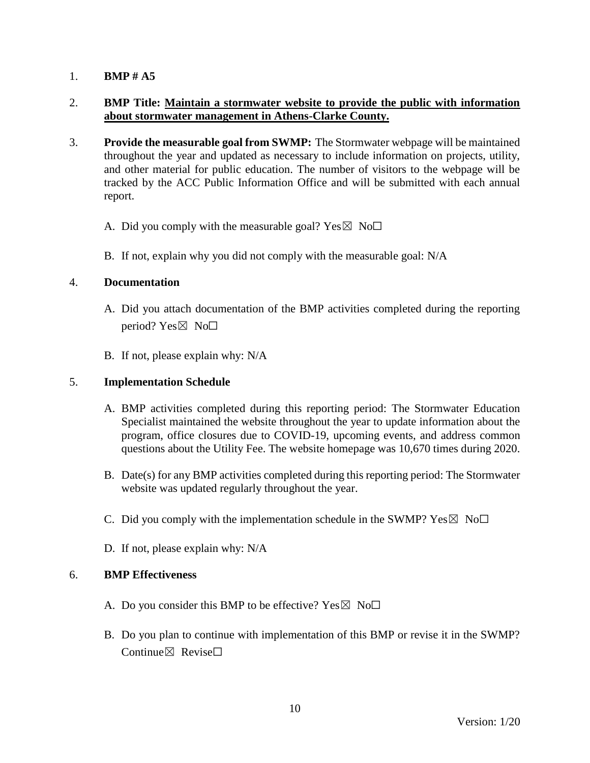## 2. **BMP Title: Maintain a stormwater website to provide the public with information about stormwater management in Athens-Clarke County.**

- 3. **Provide the measurable goal from SWMP:** The Stormwater webpage will be maintained throughout the year and updated as necessary to include information on projects, utility, and other material for public education. The number of visitors to the webpage will be tracked by the ACC Public Information Office and will be submitted with each annual report.
	- A. Did you comply with the measurable goal? Yes  $\boxtimes$  No $\Box$
	- B. If not, explain why you did not comply with the measurable goal: N/A

#### 4. **Documentation**

- A. Did you attach documentation of the BMP activities completed during the reporting period? Yes $\boxtimes$  No $\square$
- B. If not, please explain why: N/A

#### 5. **Implementation Schedule**

- A. BMP activities completed during this reporting period: The Stormwater Education Specialist maintained the website throughout the year to update information about the program, office closures due to COVID-19, upcoming events, and address common questions about the Utility Fee. The website homepage was 10,670 times during 2020.
- B. Date(s) for any BMP activities completed during this reporting period: The Stormwater website was updated regularly throughout the year.
- C. Did you comply with the implementation schedule in the SWMP?  $Yes \boxtimes No\square$
- D. If not, please explain why: N/A

- A. Do you consider this BMP to be effective? Yes  $\boxtimes$  No $\Box$
- B. Do you plan to continue with implementation of this BMP or revise it in the SWMP? Continue $\boxtimes$  Revise $\Box$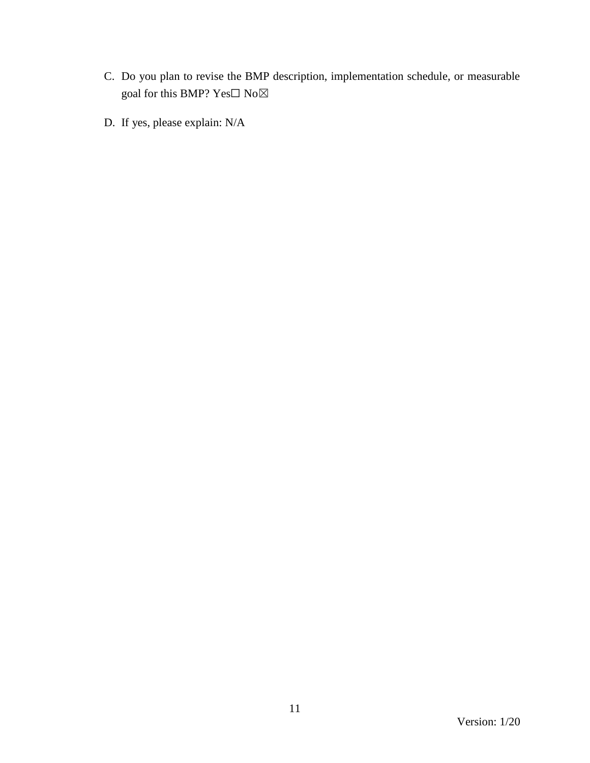- C. Do you plan to revise the BMP description, implementation schedule, or measurable goal for this BMP?  $\mathrm{Yes}\square$   $\mathrm{No}\boxtimes$
- D. If yes, please explain: N/A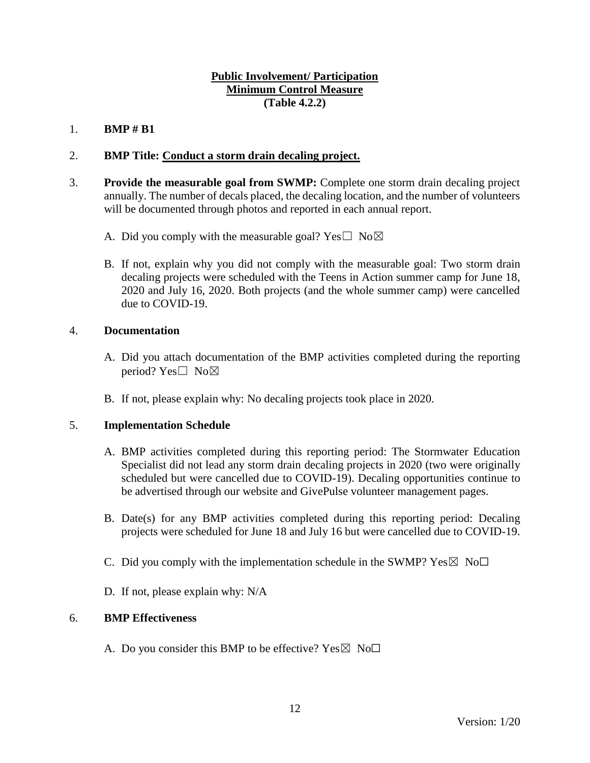## **Public Involvement/ Participation Minimum Control Measure (Table 4.2.2)**

## 1. **BMP # B1**

# 2. **BMP Title: Conduct a storm drain decaling project.**

- 3. **Provide the measurable goal from SWMP:** Complete one storm drain decaling project annually. The number of decals placed, the decaling location, and the number of volunteers will be documented through photos and reported in each annual report.
	- A. Did you comply with the measurable goal? Yes  $\square$  No $\boxtimes$
	- B. If not, explain why you did not comply with the measurable goal: Two storm drain decaling projects were scheduled with the Teens in Action summer camp for June 18, 2020 and July 16, 2020. Both projects (and the whole summer camp) were cancelled due to COVID-19.

## 4. **Documentation**

- A. Did you attach documentation of the BMP activities completed during the reporting period? Yes $\square$  No $\boxtimes$
- B. If not, please explain why: No decaling projects took place in 2020.

## 5. **Implementation Schedule**

- A. BMP activities completed during this reporting period: The Stormwater Education Specialist did not lead any storm drain decaling projects in 2020 (two were originally scheduled but were cancelled due to COVID-19). Decaling opportunities continue to be advertised through our website and GivePulse volunteer management pages.
- B. Date(s) for any BMP activities completed during this reporting period: Decaling projects were scheduled for June 18 and July 16 but were cancelled due to COVID-19.
- C. Did you comply with the implementation schedule in the SWMP?  $Yes \boxtimes No\square$
- D. If not, please explain why: N/A

#### 6. **BMP Effectiveness**

A. Do you consider this BMP to be effective? Yes  $\boxtimes$  No $\Box$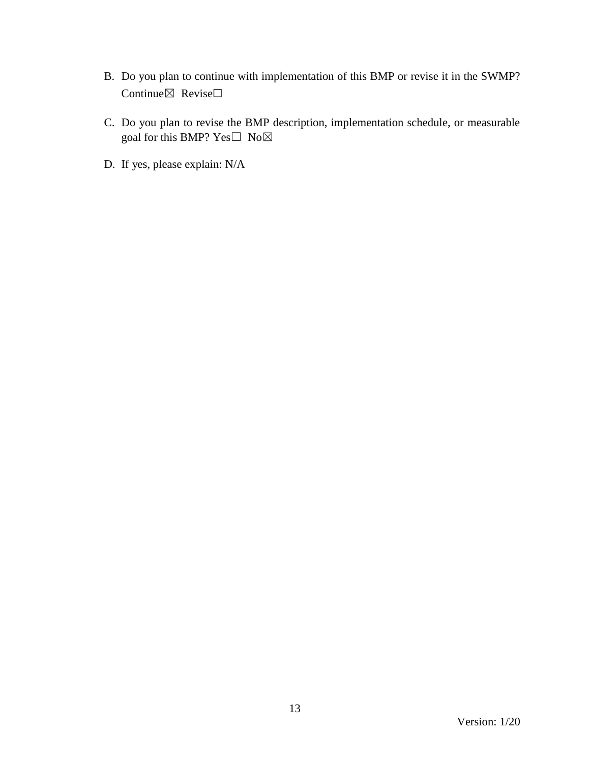- B. Do you plan to continue with implementation of this BMP or revise it in the SWMP? Continue⊠ Revise□
- C. Do you plan to revise the BMP description, implementation schedule, or measurable goal for this BMP? Yes□ No⊠
- D. If yes, please explain: N/A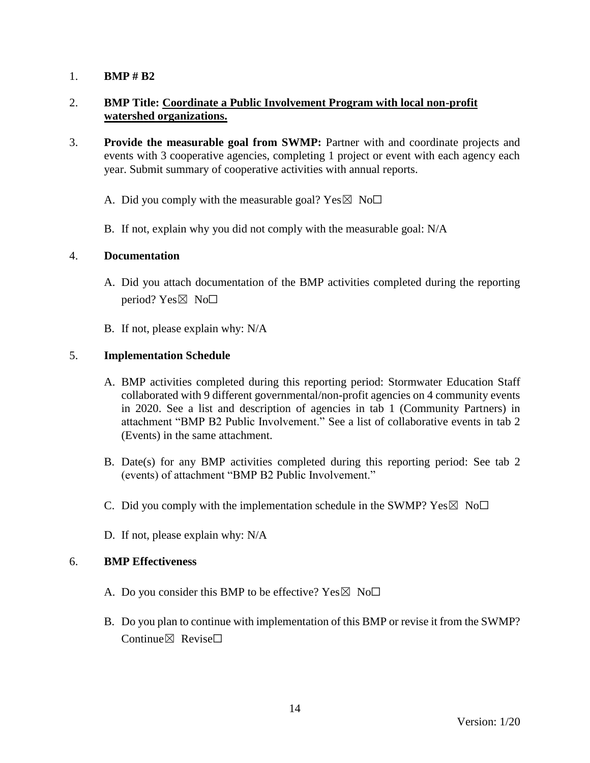## 2. **BMP Title: Coordinate a Public Involvement Program with local non-profit watershed organizations.**

- 3. **Provide the measurable goal from SWMP:** Partner with and coordinate projects and events with 3 cooperative agencies, completing 1 project or event with each agency each year. Submit summary of cooperative activities with annual reports.
	- A. Did you comply with the measurable goal? Yes  $\boxtimes$  No $\Box$
	- B. If not, explain why you did not comply with the measurable goal: N/A

#### 4. **Documentation**

- A. Did you attach documentation of the BMP activities completed during the reporting period? Yes⊠ No□
- B. If not, please explain why: N/A

## 5. **Implementation Schedule**

- A. BMP activities completed during this reporting period: Stormwater Education Staff collaborated with 9 different governmental/non-profit agencies on 4 community events in 2020. See a list and description of agencies in tab 1 (Community Partners) in attachment "BMP B2 Public Involvement." See a list of collaborative events in tab 2 (Events) in the same attachment.
- B. Date(s) for any BMP activities completed during this reporting period: See tab 2 (events) of attachment "BMP B2 Public Involvement."
- C. Did you comply with the implementation schedule in the SWMP?  $Yes \boxtimes No\square$
- D. If not, please explain why: N/A

- A. Do you consider this BMP to be effective? Yes  $\boxtimes$  No $\Box$
- B. Do you plan to continue with implementation of this BMP or revise it from the SWMP? Continue⊠ Revise□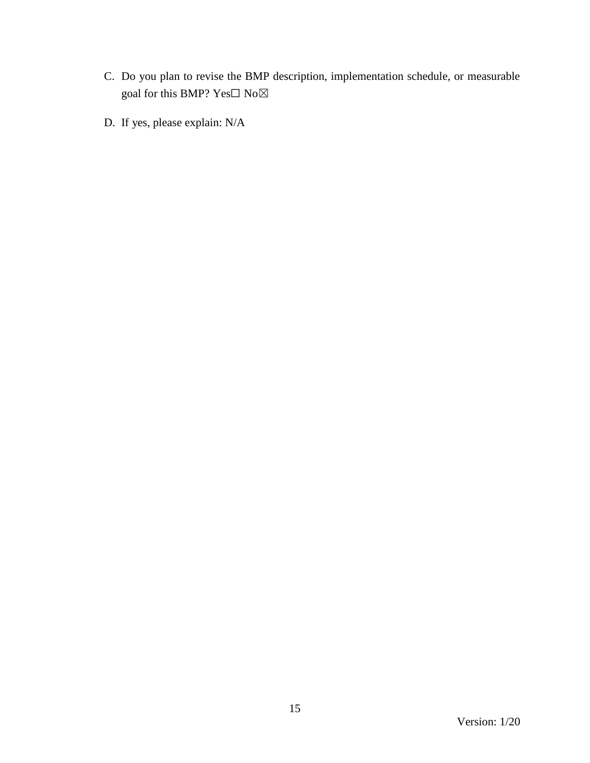- C. Do you plan to revise the BMP description, implementation schedule, or measurable goal for this BMP?  $\mathrm{Yes}\square$   $\mathrm{No}\boxtimes$
- D. If yes, please explain: N/A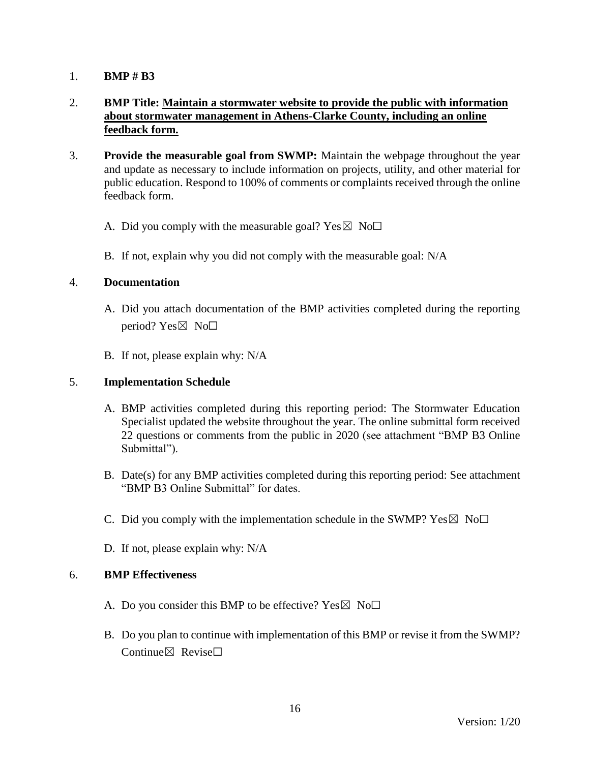# 2. **BMP Title: Maintain a stormwater website to provide the public with information about stormwater management in Athens-Clarke County, including an online feedback form.**

- 3. **Provide the measurable goal from SWMP:** Maintain the webpage throughout the year and update as necessary to include information on projects, utility, and other material for public education. Respond to 100% of comments or complaints received through the online feedback form.
	- A. Did you comply with the measurable goal? Yes  $\boxtimes$  No $\Box$
	- B. If not, explain why you did not comply with the measurable goal: N/A

#### 4. **Documentation**

- A. Did you attach documentation of the BMP activities completed during the reporting period? Yes $\boxtimes$  No $\square$
- B. If not, please explain why: N/A

#### 5. **Implementation Schedule**

- A. BMP activities completed during this reporting period: The Stormwater Education Specialist updated the website throughout the year. The online submittal form received 22 questions or comments from the public in 2020 (see attachment "BMP B3 Online Submittal").
- B. Date(s) for any BMP activities completed during this reporting period: See attachment "BMP B3 Online Submittal" for dates.
- C. Did you comply with the implementation schedule in the SWMP?  $Yes \boxtimes No\square$
- D. If not, please explain why: N/A

- A. Do you consider this BMP to be effective? Yes  $\boxtimes$  No $\Box$
- B. Do you plan to continue with implementation of this BMP or revise it from the SWMP? Continue $\boxtimes$  Revise $\Box$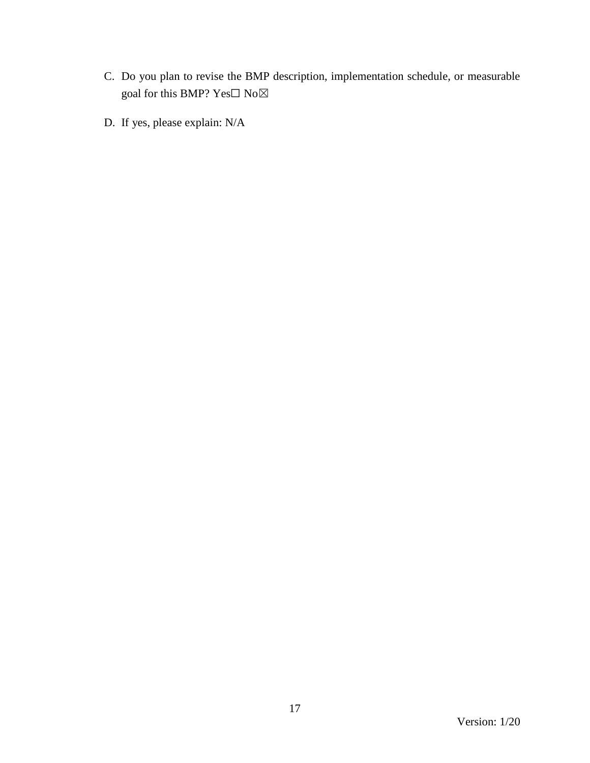- C. Do you plan to revise the BMP description, implementation schedule, or measurable goal for this BMP?  $\mathrm{Yes}\square$   $\mathrm{No}\boxtimes$
- D. If yes, please explain: N/A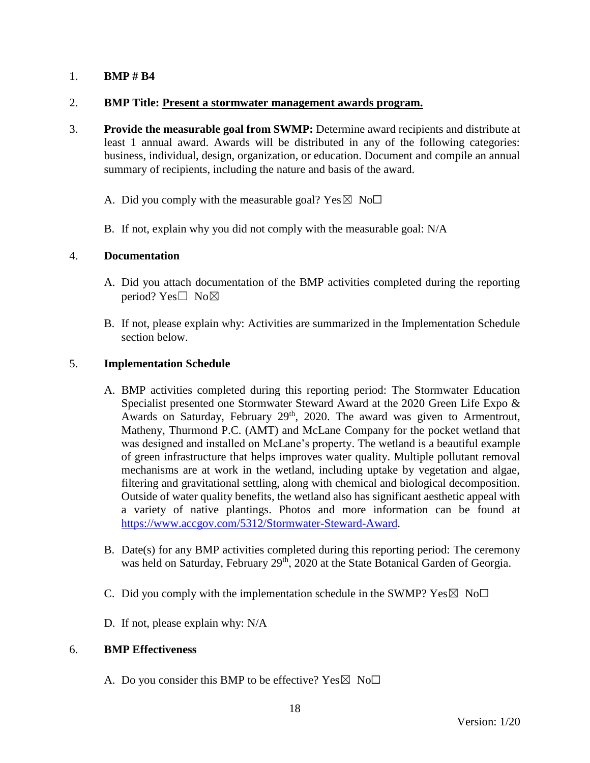#### 2. **BMP Title: Present a stormwater management awards program.**

- 3. **Provide the measurable goal from SWMP:** Determine award recipients and distribute at least 1 annual award. Awards will be distributed in any of the following categories: business, individual, design, organization, or education. Document and compile an annual summary of recipients, including the nature and basis of the award.
	- A. Did you comply with the measurable goal? Yes  $\boxtimes$  No $\Box$
	- B. If not, explain why you did not comply with the measurable goal: N/A

## 4. **Documentation**

- A. Did you attach documentation of the BMP activities completed during the reporting period? Yes□ No⊠
- B. If not, please explain why: Activities are summarized in the Implementation Schedule section below.

## 5. **Implementation Schedule**

- A. BMP activities completed during this reporting period: The Stormwater Education Specialist presented one Stormwater Steward Award at the 2020 Green Life Expo & Awards on Saturday, February 29<sup>th</sup>, 2020. The award was given to Armentrout, Matheny, Thurmond P.C. (AMT) and McLane Company for the pocket wetland that was designed and installed on McLane's property. The wetland is a beautiful example of green infrastructure that helps improves water quality. Multiple pollutant removal mechanisms are at work in the wetland, including uptake by vegetation and algae, filtering and gravitational settling, along with chemical and biological decomposition. Outside of water quality benefits, the wetland also has significant aesthetic appeal with a variety of native plantings. Photos and more information can be found at [https://www.accgov.com/5312/Stormwater-Steward-Award.](https://www.accgov.com/5312/Stormwater-Steward-Award)
- B. Date(s) for any BMP activities completed during this reporting period: The ceremony was held on Saturday, February 29<sup>th</sup>, 2020 at the State Botanical Garden of Georgia.
- C. Did you comply with the implementation schedule in the SWMP?  $Yes \boxtimes No\square$
- D. If not, please explain why: N/A

#### 6. **BMP Effectiveness**

A. Do you consider this BMP to be effective? Yes  $\boxtimes$  No $\Box$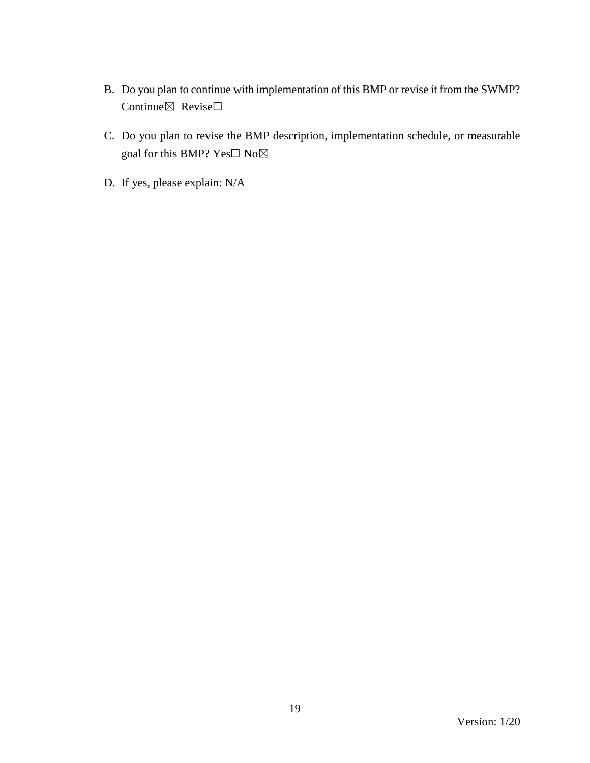- B. Do you plan to continue with implementation of this BMP or revise it from the SWMP? Continue⊠ Revise□
- C. Do you plan to revise the BMP description, implementation schedule, or measurable goal for this BMP? Yes□ No⊠
- D. If yes, please explain: N/A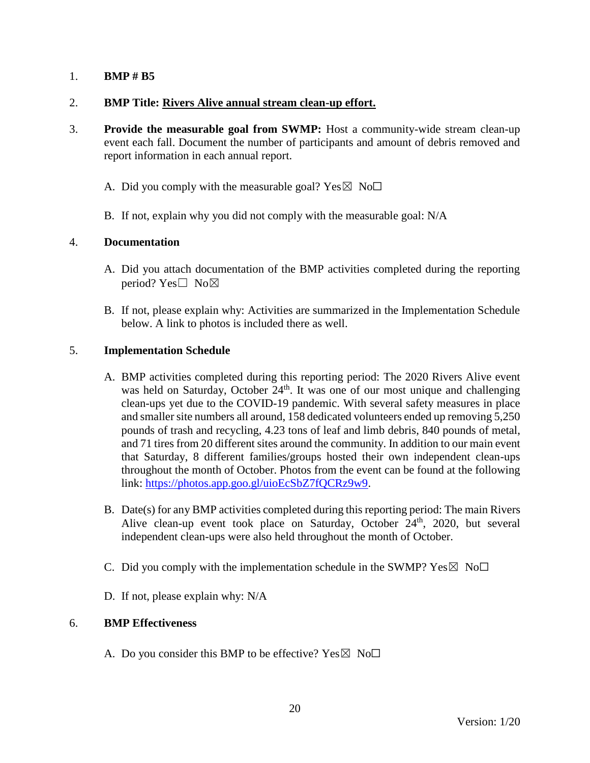## 2. **BMP Title: Rivers Alive annual stream clean-up effort.**

- 3. **Provide the measurable goal from SWMP:** Host a community-wide stream clean-up event each fall. Document the number of participants and amount of debris removed and report information in each annual report.
	- A. Did you comply with the measurable goal? Yes  $\boxtimes$  No $\Box$
	- B. If not, explain why you did not comply with the measurable goal: N/A

#### 4. **Documentation**

- A. Did you attach documentation of the BMP activities completed during the reporting period? Yes□ No⊠
- B. If not, please explain why: Activities are summarized in the Implementation Schedule below. A link to photos is included there as well.

## 5. **Implementation Schedule**

- A. BMP activities completed during this reporting period: The 2020 Rivers Alive event was held on Saturday, October 24<sup>th</sup>. It was one of our most unique and challenging clean-ups yet due to the COVID-19 pandemic. With several safety measures in place and smaller site numbers all around, 158 dedicated volunteers ended up removing 5,250 pounds of trash and recycling, 4.23 tons of leaf and limb debris, 840 pounds of metal, and 71 tires from 20 different sites around the community. In addition to our main event that Saturday, 8 different families/groups hosted their own independent clean-ups throughout the month of October. Photos from the event can be found at the following link: [https://photos.app.goo.gl/uioEcSbZ7fQCRz9w9.](https://photos.app.goo.gl/uioEcSbZ7fQCRz9w9)
- B. Date(s) for any BMP activities completed during this reporting period: The main Rivers Alive clean-up event took place on Saturday, October  $24<sup>th</sup>$ , 2020, but several independent clean-ups were also held throughout the month of October.
- C. Did you comply with the implementation schedule in the SWMP?  $Yes \boxtimes No\square$
- D. If not, please explain why: N/A

#### 6. **BMP Effectiveness**

A. Do you consider this BMP to be effective? Yes  $\boxtimes$  No $\Box$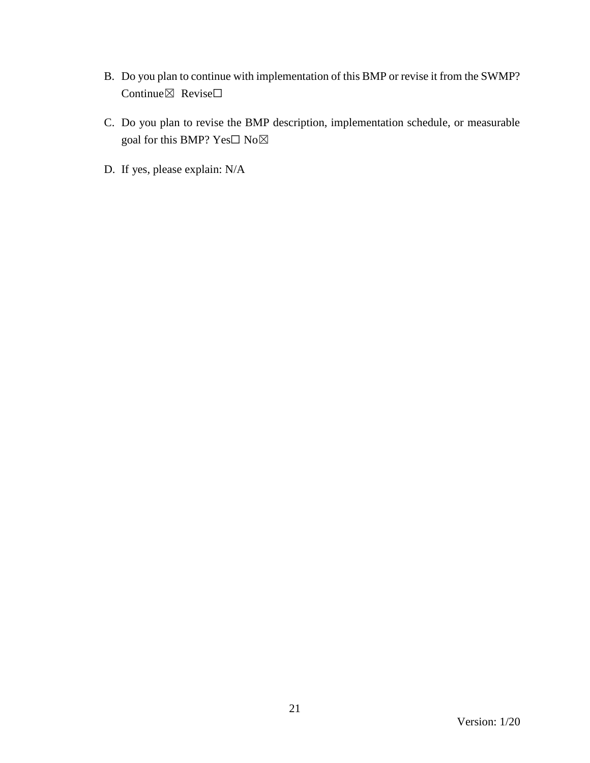- B. Do you plan to continue with implementation of this BMP or revise it from the SWMP? Continue⊠ Revise□
- C. Do you plan to revise the BMP description, implementation schedule, or measurable goal for this BMP? Yes $\Box$  No $\boxtimes$
- D. If yes, please explain: N/A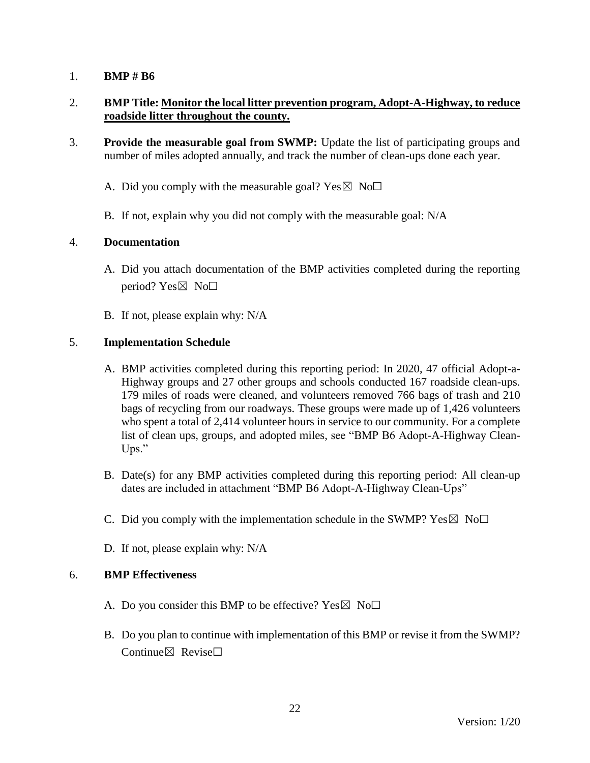## 2. **BMP Title: Monitor the local litter prevention program, Adopt-A-Highway, to reduce roadside litter throughout the county.**

- 3. **Provide the measurable goal from SWMP:** Update the list of participating groups and number of miles adopted annually, and track the number of clean-ups done each year.
	- A. Did you comply with the measurable goal? Yes  $\boxtimes$  No $\Box$
	- B. If not, explain why you did not comply with the measurable goal: N/A

## 4. **Documentation**

- A. Did you attach documentation of the BMP activities completed during the reporting period?  $Yes \boxtimes No \square$
- B. If not, please explain why: N/A

## 5. **Implementation Schedule**

- A. BMP activities completed during this reporting period: In 2020, 47 official Adopt-a-Highway groups and 27 other groups and schools conducted 167 roadside clean-ups. 179 miles of roads were cleaned, and volunteers removed 766 bags of trash and 210 bags of recycling from our roadways. These groups were made up of 1,426 volunteers who spent a total of 2,414 volunteer hours in service to our community. For a complete list of clean ups, groups, and adopted miles, see "BMP B6 Adopt-A-Highway Clean-Ups."
- B. Date(s) for any BMP activities completed during this reporting period: All clean-up dates are included in attachment "BMP B6 Adopt-A-Highway Clean-Ups"
- C. Did you comply with the implementation schedule in the SWMP?  $Yes \boxtimes No\square$
- D. If not, please explain why: N/A

- A. Do you consider this BMP to be effective? Yes  $\boxtimes$  No $\Box$
- B. Do you plan to continue with implementation of this BMP or revise it from the SWMP? Continue $\boxtimes$  Revise $\Box$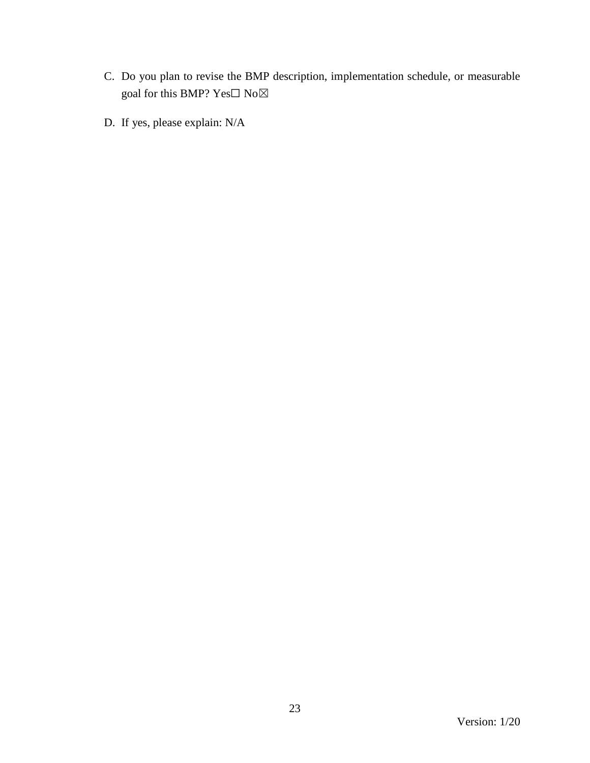- C. Do you plan to revise the BMP description, implementation schedule, or measurable goal for this BMP?  $\mathrm{Yes}\square$   $\mathrm{No}\boxtimes$
- D. If yes, please explain: N/A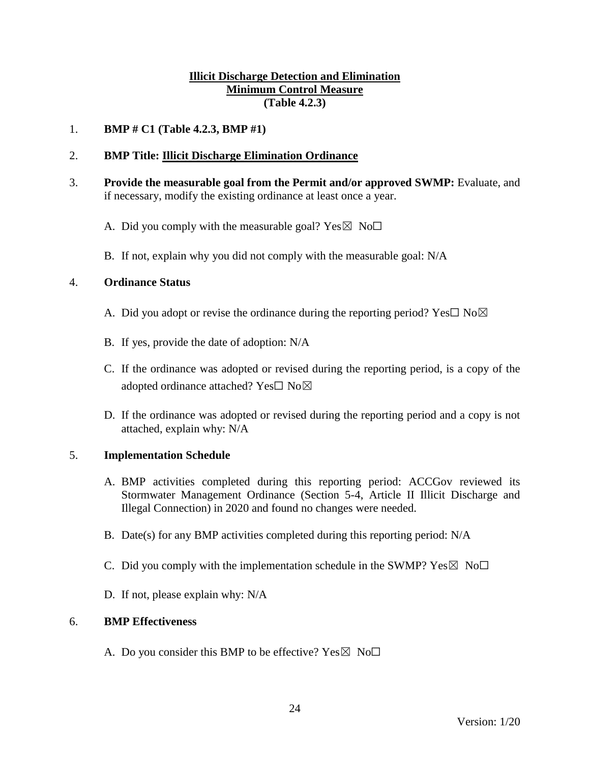## **Illicit Discharge Detection and Elimination Minimum Control Measure (Table 4.2.3)**

## 1. **BMP # C1 (Table 4.2.3, BMP #1)**

## 2. **BMP Title: Illicit Discharge Elimination Ordinance**

- 3. **Provide the measurable goal from the Permit and/or approved SWMP:** Evaluate, and if necessary, modify the existing ordinance at least once a year.
	- A. Did you comply with the measurable goal? Yes  $\boxtimes$  No $\Box$
	- B. If not, explain why you did not comply with the measurable goal: N/A

#### 4. **Ordinance Status**

- A. Did you adopt or revise the ordinance during the reporting period? Yes $\square$  No $\boxtimes$
- B. If yes, provide the date of adoption: N/A
- C. If the ordinance was adopted or revised during the reporting period, is a copy of the adopted ordinance attached? Yes□ No⊠
- D. If the ordinance was adopted or revised during the reporting period and a copy is not attached, explain why: N/A

#### 5. **Implementation Schedule**

- A. BMP activities completed during this reporting period: ACCGov reviewed its Stormwater Management Ordinance (Section 5-4, Article II Illicit Discharge and Illegal Connection) in 2020 and found no changes were needed.
- B. Date(s) for any BMP activities completed during this reporting period: N/A
- C. Did you comply with the implementation schedule in the SWMP?  $Yes \boxtimes No \square$
- D. If not, please explain why: N/A

#### 6. **BMP Effectiveness**

A. Do you consider this BMP to be effective? Yes  $\boxtimes$  No $\Box$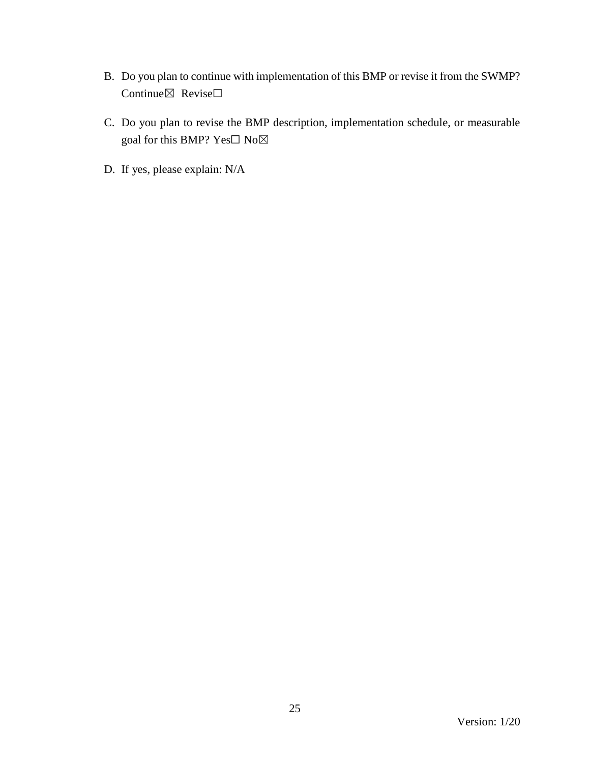- B. Do you plan to continue with implementation of this BMP or revise it from the SWMP? Continue⊠ Revise□
- C. Do you plan to revise the BMP description, implementation schedule, or measurable goal for this BMP? Yes $\Box$  No $\boxtimes$
- D. If yes, please explain: N/A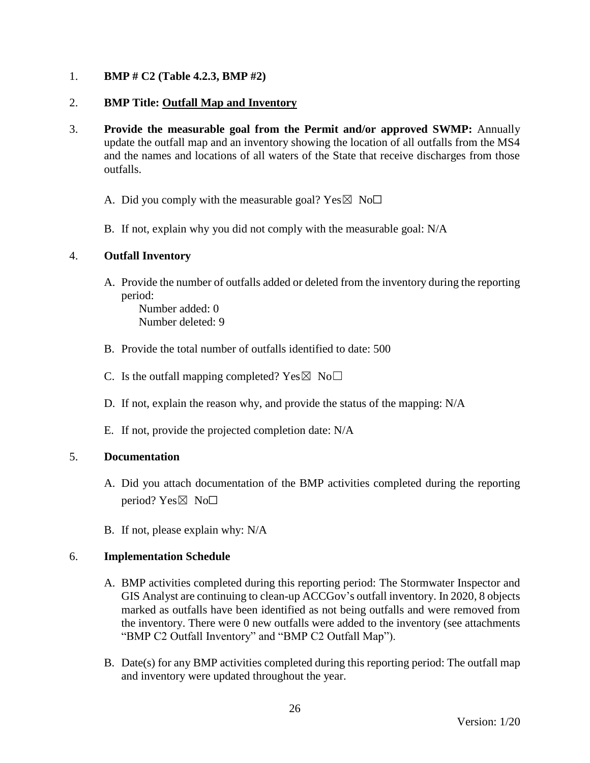## 1. **BMP # C2 (Table 4.2.3, BMP #2)**

## 2. **BMP Title: Outfall Map and Inventory**

- 3. **Provide the measurable goal from the Permit and/or approved SWMP:** Annually update the outfall map and an inventory showing the location of all outfalls from the MS4 and the names and locations of all waters of the State that receive discharges from those outfalls.
	- A. Did you comply with the measurable goal? Yes  $\boxtimes$  No $\Box$
	- B. If not, explain why you did not comply with the measurable goal: N/A

#### 4. **Outfall Inventory**

A. Provide the number of outfalls added or deleted from the inventory during the reporting period:

Number added: 0 Number deleted: 9

- B. Provide the total number of outfalls identified to date: 500
- C. Is the outfall mapping completed?  $Yes \boxtimes No \square$
- D. If not, explain the reason why, and provide the status of the mapping: N/A
- E. If not, provide the projected completion date: N/A

#### 5. **Documentation**

- A. Did you attach documentation of the BMP activities completed during the reporting period?  $Yes \boxtimes No \Box$
- B. If not, please explain why: N/A

#### 6. **Implementation Schedule**

- A. BMP activities completed during this reporting period: The Stormwater Inspector and GIS Analyst are continuing to clean-up ACCGov's outfall inventory. In 2020, 8 objects marked as outfalls have been identified as not being outfalls and were removed from the inventory. There were 0 new outfalls were added to the inventory (see attachments "BMP C2 Outfall Inventory" and "BMP C2 Outfall Map").
- B. Date(s) for any BMP activities completed during this reporting period: The outfall map and inventory were updated throughout the year.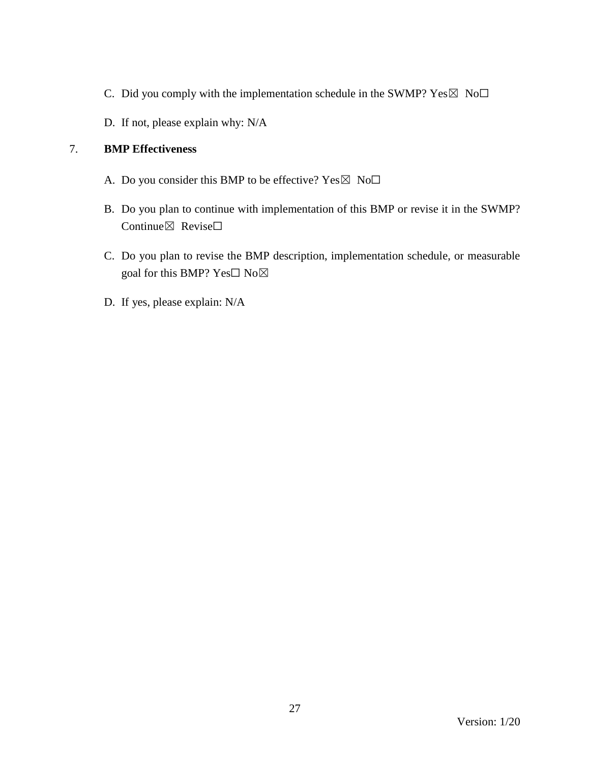- C. Did you comply with the implementation schedule in the SWMP?  $Yes \boxtimes No \Box$
- D. If not, please explain why: N/A

- A. Do you consider this BMP to be effective? Yes  $\boxtimes$  No $\Box$
- B. Do you plan to continue with implementation of this BMP or revise it in the SWMP? Continue⊠ Revise□
- C. Do you plan to revise the BMP description, implementation schedule, or measurable goal for this BMP?  $Yes \Box No \boxtimes$
- D. If yes, please explain: N/A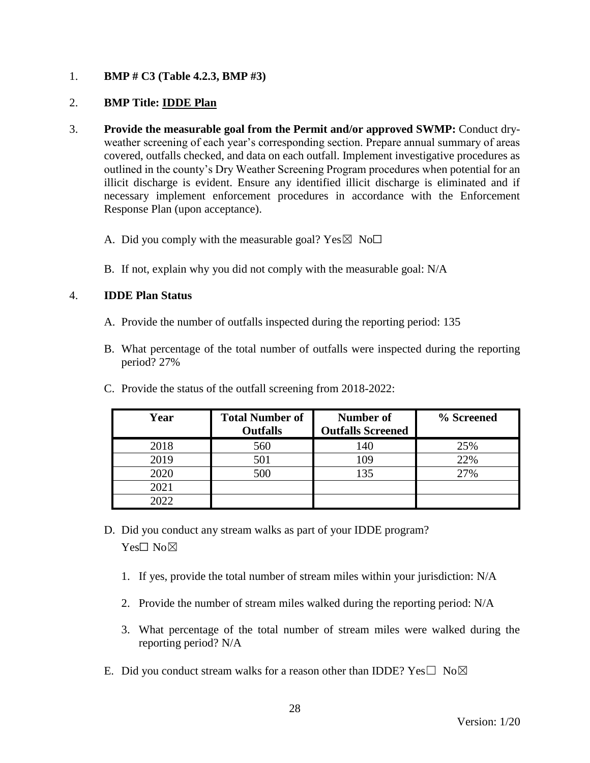## 1. **BMP # C3 (Table 4.2.3, BMP #3)**

## 2. **BMP Title: IDDE Plan**

- 3. **Provide the measurable goal from the Permit and/or approved SWMP:** Conduct dryweather screening of each year's corresponding section. Prepare annual summary of areas covered, outfalls checked, and data on each outfall. Implement investigative procedures as outlined in the county's Dry Weather Screening Program procedures when potential for an illicit discharge is evident. Ensure any identified illicit discharge is eliminated and if necessary implement enforcement procedures in accordance with the Enforcement Response Plan (upon acceptance).
	- A. Did you comply with the measurable goal? Yes  $\boxtimes$  No $\Box$
	- B. If not, explain why you did not comply with the measurable goal: N/A

## 4. **IDDE Plan Status**

- A. Provide the number of outfalls inspected during the reporting period: 135
- B. What percentage of the total number of outfalls were inspected during the reporting period? 27%

| Year | <b>Total Number of</b><br><b>Outfalls</b> | <b>Number of</b><br><b>Outfalls Screened</b> | % Screened |
|------|-------------------------------------------|----------------------------------------------|------------|
| 2018 | 560                                       | 140                                          | 25%        |
| 2019 | 501                                       | 109                                          | 22%        |
| 2020 | 500                                       | 135                                          | 27%        |
| 2021 |                                           |                                              |            |
| 2022 |                                           |                                              |            |

C. Provide the status of the outfall screening from 2018-2022:

- D. Did you conduct any stream walks as part of your IDDE program? Yes□ No⊠
	- 1. If yes, provide the total number of stream miles within your jurisdiction: N/A
	- 2. Provide the number of stream miles walked during the reporting period: N/A
	- 3. What percentage of the total number of stream miles were walked during the reporting period? N/A
- E. Did you conduct stream walks for a reason other than IDDE?  $Yes \Box No \boxtimes$

28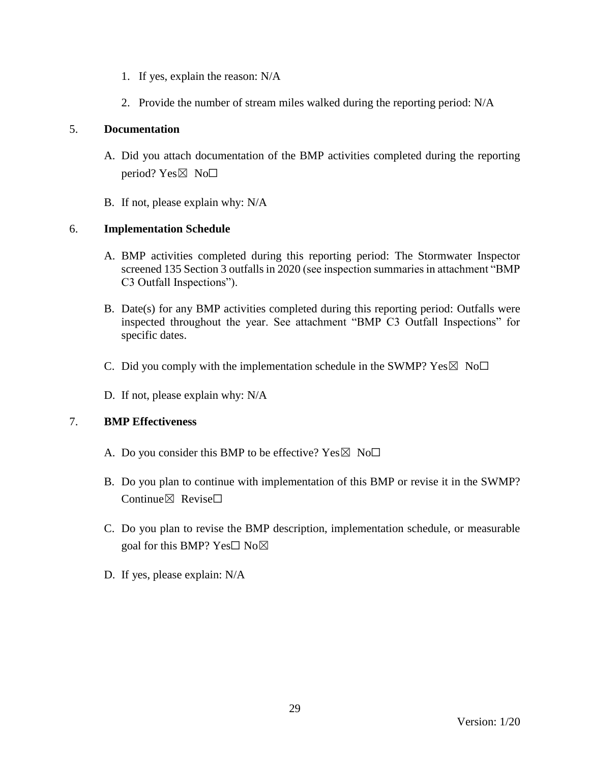- 1. If yes, explain the reason: N/A
- 2. Provide the number of stream miles walked during the reporting period: N/A

## 5. **Documentation**

- A. Did you attach documentation of the BMP activities completed during the reporting period? Yes $\boxtimes$  No $\square$
- B. If not, please explain why: N/A

# 6. **Implementation Schedule**

- A. BMP activities completed during this reporting period: The Stormwater Inspector screened 135 Section 3 outfalls in 2020 (see inspection summaries in attachment "BMP C3 Outfall Inspections").
- B. Date(s) for any BMP activities completed during this reporting period: Outfalls were inspected throughout the year. See attachment "BMP C3 Outfall Inspections" for specific dates.
- C. Did you comply with the implementation schedule in the SWMP?  $Yes \boxtimes No \Box$
- D. If not, please explain why: N/A

- A. Do you consider this BMP to be effective? Yes  $\boxtimes$  No $\Box$
- B. Do you plan to continue with implementation of this BMP or revise it in the SWMP? Continue $\boxtimes$  Revise $\Box$
- C. Do you plan to revise the BMP description, implementation schedule, or measurable goal for this BMP? Yes□ No⊠
- D. If yes, please explain: N/A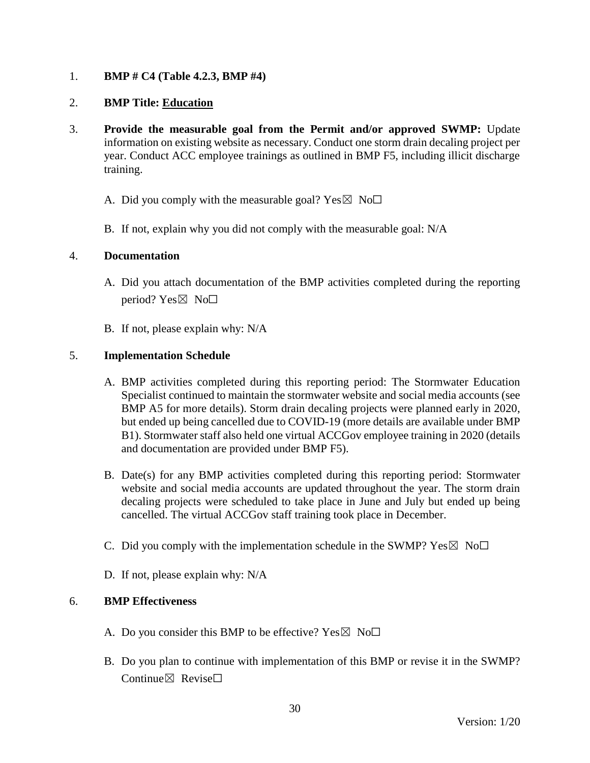## 1. **BMP # C4 (Table 4.2.3, BMP #4)**

## 2. **BMP Title: Education**

- 3. **Provide the measurable goal from the Permit and/or approved SWMP:** Update information on existing website as necessary. Conduct one storm drain decaling project per year. Conduct ACC employee trainings as outlined in BMP F5, including illicit discharge training.
	- A. Did you comply with the measurable goal? Yes  $\boxtimes$  No $\Box$
	- B. If not, explain why you did not comply with the measurable goal: N/A

#### 4. **Documentation**

- A. Did you attach documentation of the BMP activities completed during the reporting period? Yes $\boxtimes$  No $\square$
- B. If not, please explain why: N/A

## 5. **Implementation Schedule**

- A. BMP activities completed during this reporting period: The Stormwater Education Specialist continued to maintain the stormwater website and social media accounts (see BMP A5 for more details). Storm drain decaling projects were planned early in 2020, but ended up being cancelled due to COVID-19 (more details are available under BMP B1). Stormwater staff also held one virtual ACCGov employee training in 2020 (details and documentation are provided under BMP F5).
- B. Date(s) for any BMP activities completed during this reporting period: Stormwater website and social media accounts are updated throughout the year. The storm drain decaling projects were scheduled to take place in June and July but ended up being cancelled. The virtual ACCGov staff training took place in December.
- C. Did you comply with the implementation schedule in the SWMP?  $Yes \boxtimes No \Box$
- D. If not, please explain why: N/A

- A. Do you consider this BMP to be effective?  $Yes \boxtimes No\square$
- B. Do you plan to continue with implementation of this BMP or revise it in the SWMP? Continue⊠ Revise□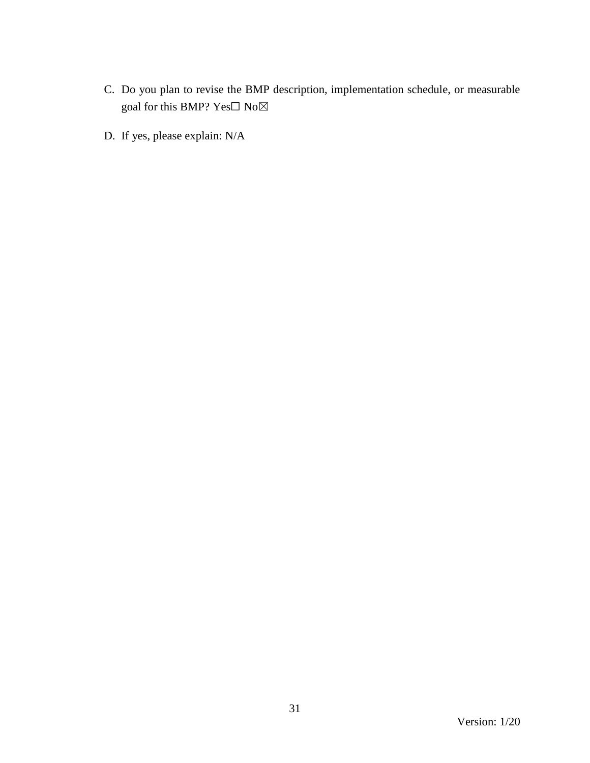- C. Do you plan to revise the BMP description, implementation schedule, or measurable goal for this BMP? Yes $\Box$  No $\boxtimes$
- D. If yes, please explain: N/A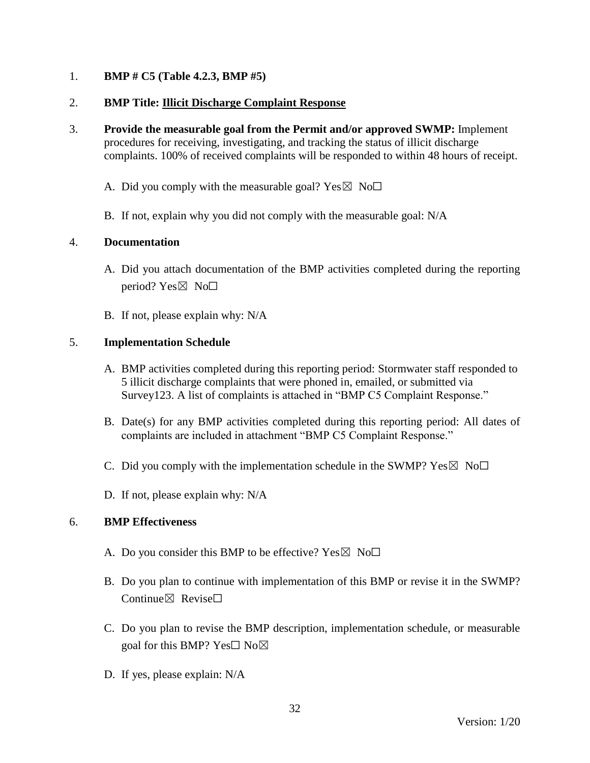## 1. **BMP # C5 (Table 4.2.3, BMP #5)**

## 2. **BMP Title: Illicit Discharge Complaint Response**

3. **Provide the measurable goal from the Permit and/or approved SWMP:** Implement procedures for receiving, investigating, and tracking the status of illicit discharge complaints. 100% of received complaints will be responded to within 48 hours of receipt.

A. Did you comply with the measurable goal? Yes  $\boxtimes$  No $\Box$ 

B. If not, explain why you did not comply with the measurable goal: N/A

## 4. **Documentation**

- A. Did you attach documentation of the BMP activities completed during the reporting period?  $Yes \boxtimes No \square$
- B. If not, please explain why: N/A

## 5. **Implementation Schedule**

- A. BMP activities completed during this reporting period: Stormwater staff responded to 5 illicit discharge complaints that were phoned in, emailed, or submitted via Survey123. A list of complaints is attached in "BMP C5 Complaint Response."
- B. Date(s) for any BMP activities completed during this reporting period: All dates of complaints are included in attachment "BMP C5 Complaint Response."
- C. Did you comply with the implementation schedule in the SWMP?  $Yes \boxtimes No \square$
- D. If not, please explain why: N/A

- A. Do you consider this BMP to be effective? Yes  $\boxtimes$  No $\Box$
- B. Do you plan to continue with implementation of this BMP or revise it in the SWMP? Continue $\boxtimes$  Revise $\Box$
- C. Do you plan to revise the BMP description, implementation schedule, or measurable goal for this BMP? Yes $\square$  No $\boxtimes$
- D. If yes, please explain: N/A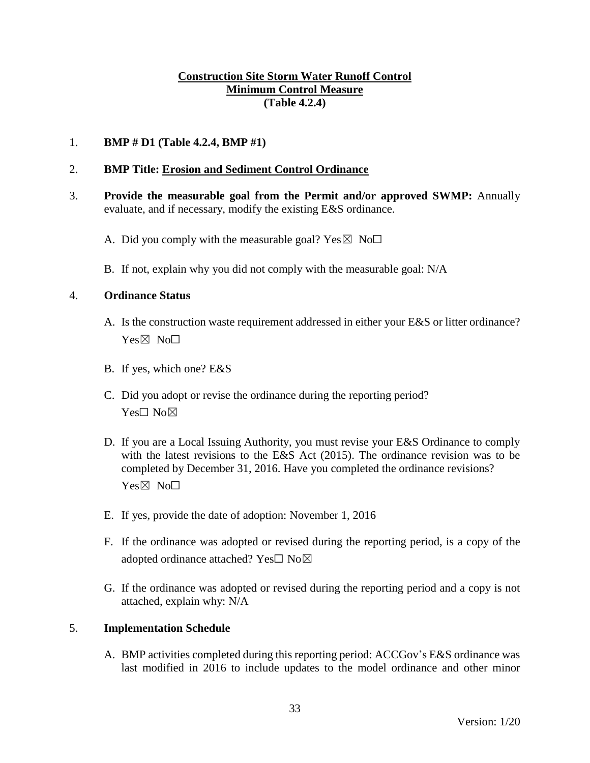## **Construction Site Storm Water Runoff Control Minimum Control Measure (Table 4.2.4)**

## 1. **BMP # D1 (Table 4.2.4, BMP #1)**

#### 2. **BMP Title: Erosion and Sediment Control Ordinance**

- 3. **Provide the measurable goal from the Permit and/or approved SWMP:** Annually evaluate, and if necessary, modify the existing E&S ordinance.
	- A. Did you comply with the measurable goal? Yes  $\boxtimes$  No $\Box$
	- B. If not, explain why you did not comply with the measurable goal: N/A

#### 4. **Ordinance Status**

- A. Is the construction waste requirement addressed in either your E&S or litter ordinance? Yes⊠ No□
- B. If yes, which one? E&S
- C. Did you adopt or revise the ordinance during the reporting period? Yes□ No⊠
- D. If you are a Local Issuing Authority, you must revise your E&S Ordinance to comply with the latest revisions to the E&S Act (2015). The ordinance revision was to be completed by December 31, 2016. Have you completed the ordinance revisions? Yes⊠ No<sub>□</sub>
- E. If yes, provide the date of adoption: November 1, 2016
- F. If the ordinance was adopted or revised during the reporting period, is a copy of the adopted ordinance attached? Yes□ No⊠
- G. If the ordinance was adopted or revised during the reporting period and a copy is not attached, explain why: N/A

#### 5. **Implementation Schedule**

A. BMP activities completed during this reporting period: ACCGov's E&S ordinance was last modified in 2016 to include updates to the model ordinance and other minor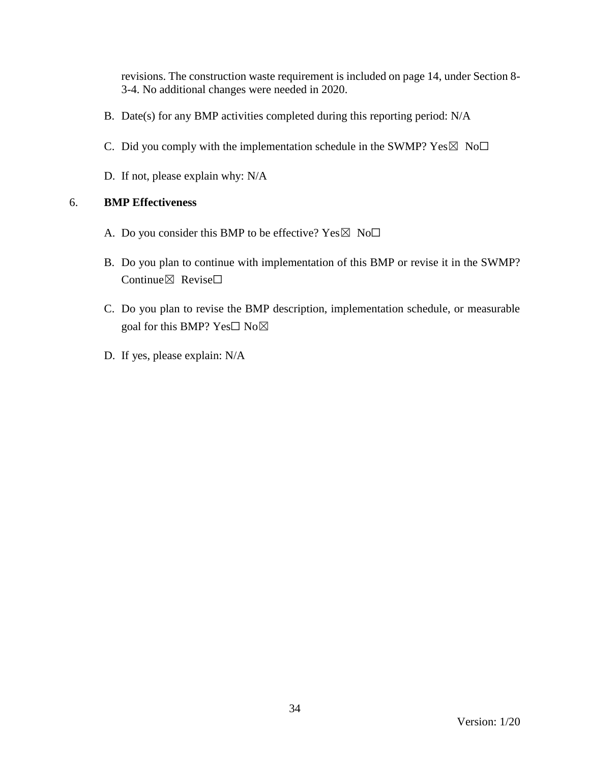revisions. The construction waste requirement is included on page 14, under Section 8- 3-4. No additional changes were needed in 2020.

- B. Date(s) for any BMP activities completed during this reporting period: N/A
- C. Did you comply with the implementation schedule in the SWMP?  $Yes \boxtimes No \Box$
- D. If not, please explain why: N/A

- A. Do you consider this BMP to be effective? Yes  $\boxtimes$  No $\Box$
- B. Do you plan to continue with implementation of this BMP or revise it in the SWMP? Continue⊠ Revise□
- C. Do you plan to revise the BMP description, implementation schedule, or measurable goal for this BMP? Yes□ No⊠
- D. If yes, please explain: N/A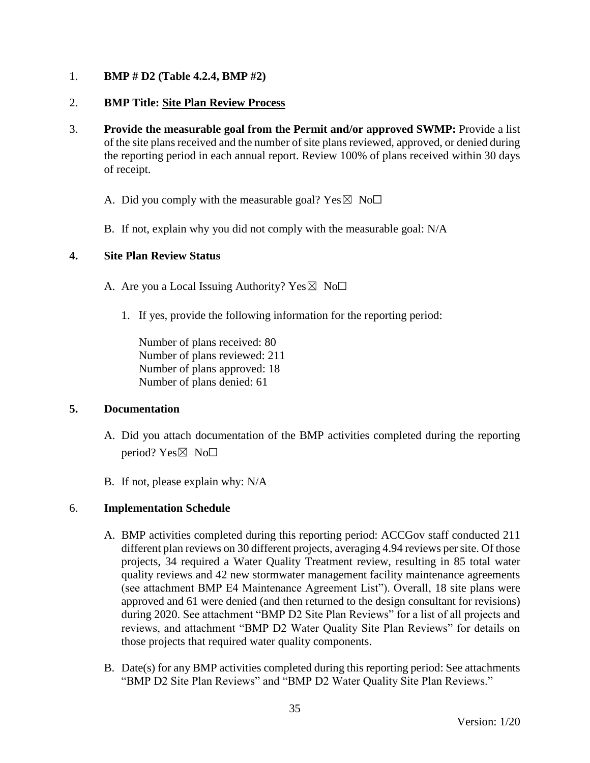## 1. **BMP # D2 (Table 4.2.4, BMP #2)**

## 2. **BMP Title: Site Plan Review Process**

- 3. **Provide the measurable goal from the Permit and/or approved SWMP:** Provide a list of the site plans received and the number of site plans reviewed, approved, or denied during the reporting period in each annual report. Review 100% of plans received within 30 days of receipt.
	- A. Did you comply with the measurable goal? Yes  $\boxtimes$  No $\Box$
	- B. If not, explain why you did not comply with the measurable goal: N/A

#### **4. Site Plan Review Status**

- A. Are you a Local Issuing Authority? Yes  $\boxtimes$  No $\Box$ 
	- 1. If yes, provide the following information for the reporting period:

Number of plans received: 80 Number of plans reviewed: 211 Number of plans approved: 18 Number of plans denied: 61

#### **5. Documentation**

- A. Did you attach documentation of the BMP activities completed during the reporting period? Yes $\boxtimes$  No $\square$
- B. If not, please explain why: N/A

#### 6. **Implementation Schedule**

- A. BMP activities completed during this reporting period: ACCGov staff conducted 211 different plan reviews on 30 different projects, averaging 4.94 reviews per site. Of those projects, 34 required a Water Quality Treatment review, resulting in 85 total water quality reviews and 42 new stormwater management facility maintenance agreements (see attachment BMP E4 Maintenance Agreement List"). Overall, 18 site plans were approved and 61 were denied (and then returned to the design consultant for revisions) during 2020. See attachment "BMP D2 Site Plan Reviews" for a list of all projects and reviews, and attachment "BMP D2 Water Quality Site Plan Reviews" for details on those projects that required water quality components.
- B. Date(s) for any BMP activities completed during this reporting period: See attachments "BMP D2 Site Plan Reviews" and "BMP D2 Water Quality Site Plan Reviews."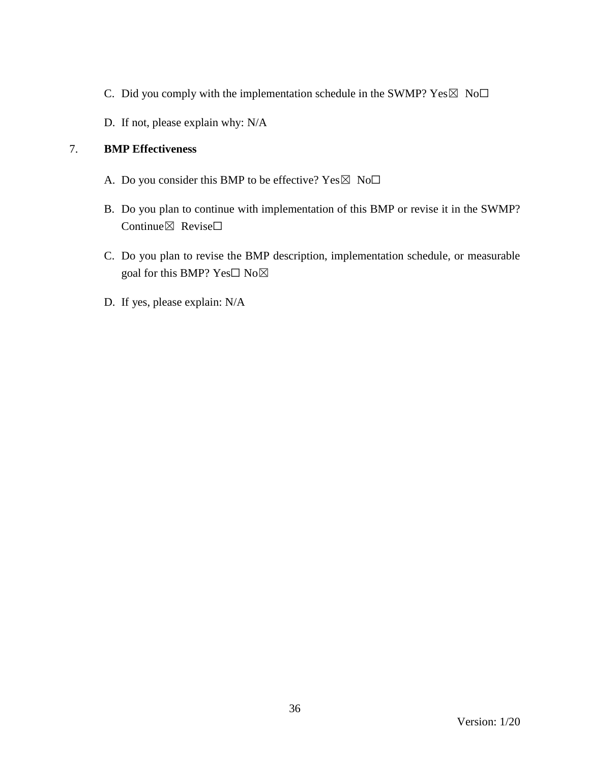- C. Did you comply with the implementation schedule in the SWMP?  $Yes \boxtimes No \Box$
- D. If not, please explain why: N/A

- A. Do you consider this BMP to be effective? Yes  $\boxtimes$  No $\Box$
- B. Do you plan to continue with implementation of this BMP or revise it in the SWMP? Continue⊠ Revise□
- C. Do you plan to revise the BMP description, implementation schedule, or measurable goal for this BMP? Yes□ No⊠
- D. If yes, please explain: N/A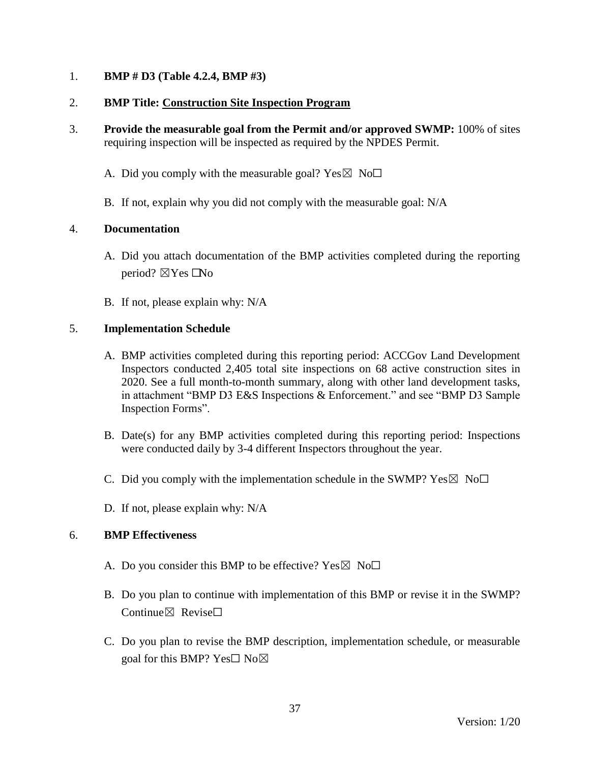## 1. **BMP # D3 (Table 4.2.4, BMP #3)**

## 2. **BMP Title: Construction Site Inspection Program**

- 3. **Provide the measurable goal from the Permit and/or approved SWMP:** 100% of sites requiring inspection will be inspected as required by the NPDES Permit.
	- A. Did you comply with the measurable goal? Yes  $\boxtimes$  No $\Box$
	- B. If not, explain why you did not comply with the measurable goal: N/A

## 4. **Documentation**

- A. Did you attach documentation of the BMP activities completed during the reporting period?  $\boxtimes$  Yes  $\Box$  No
- B. If not, please explain why: N/A

## 5. **Implementation Schedule**

- A. BMP activities completed during this reporting period: ACCGov Land Development Inspectors conducted 2,405 total site inspections on 68 active construction sites in 2020. See a full month-to-month summary, along with other land development tasks, in attachment "BMP D3 E&S Inspections & Enforcement." and see "BMP D3 Sample Inspection Forms".
- B. Date(s) for any BMP activities completed during this reporting period: Inspections were conducted daily by 3-4 different Inspectors throughout the year.
- C. Did you comply with the implementation schedule in the SWMP?  $Yes \boxtimes No \Box$
- D. If not, please explain why: N/A

- A. Do you consider this BMP to be effective? Yes  $\boxtimes$  No $\Box$
- B. Do you plan to continue with implementation of this BMP or revise it in the SWMP? Continue⊠ Revise□
- C. Do you plan to revise the BMP description, implementation schedule, or measurable goal for this BMP? Yes $\square$  No $\square$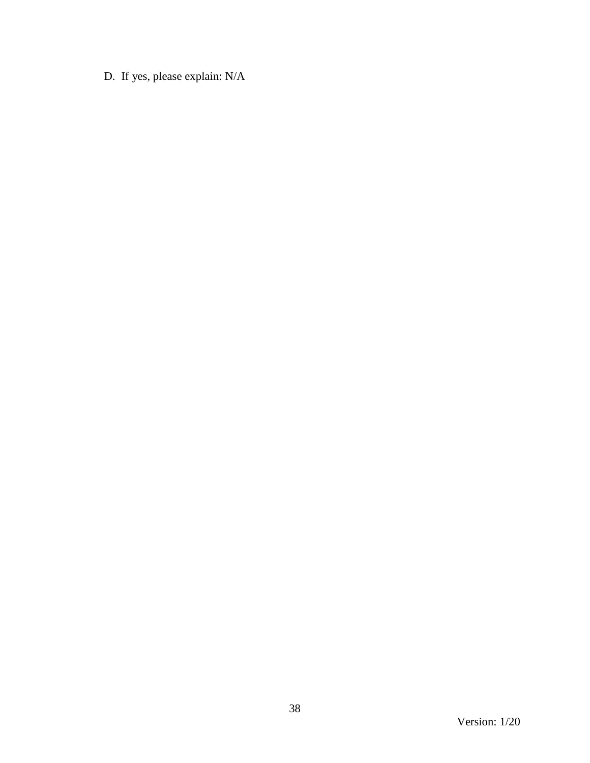D. If yes, please explain: N/A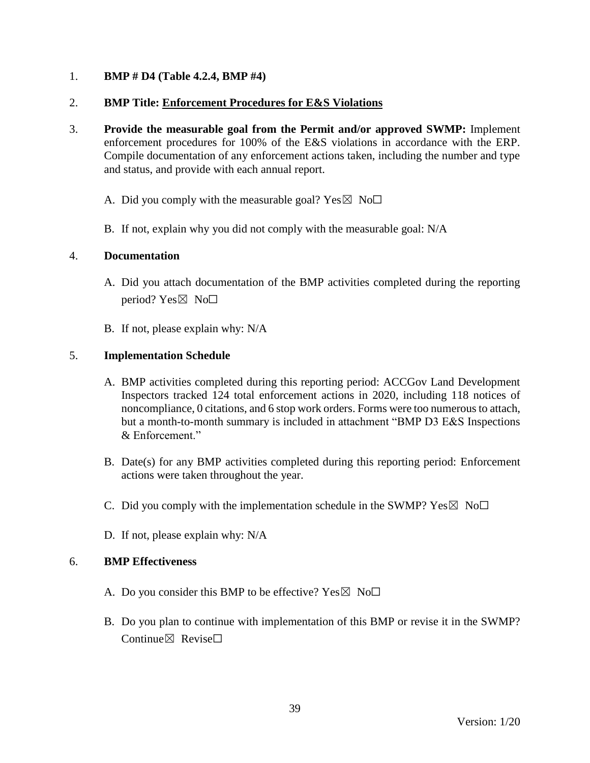## 1. **BMP # D4 (Table 4.2.4, BMP #4)**

### 2. **BMP Title: Enforcement Procedures for E&S Violations**

- 3. **Provide the measurable goal from the Permit and/or approved SWMP:** Implement enforcement procedures for 100% of the E&S violations in accordance with the ERP. Compile documentation of any enforcement actions taken, including the number and type and status, and provide with each annual report.
	- A. Did you comply with the measurable goal? Yes  $\boxtimes$  No $\Box$
	- B. If not, explain why you did not comply with the measurable goal: N/A

### 4. **Documentation**

- A. Did you attach documentation of the BMP activities completed during the reporting period? Yes $\boxtimes$  No $\square$
- B. If not, please explain why: N/A

## 5. **Implementation Schedule**

- A. BMP activities completed during this reporting period: ACCGov Land Development Inspectors tracked 124 total enforcement actions in 2020, including 118 notices of noncompliance, 0 citations, and 6 stop work orders. Forms were too numerous to attach, but a month-to-month summary is included in attachment "BMP D3 E&S Inspections & Enforcement."
- B. Date(s) for any BMP activities completed during this reporting period: Enforcement actions were taken throughout the year.
- C. Did you comply with the implementation schedule in the SWMP?  $Yes \boxtimes No \Box$
- D. If not, please explain why: N/A

- A. Do you consider this BMP to be effective? Yes  $\boxtimes$  No $\Box$
- B. Do you plan to continue with implementation of this BMP or revise it in the SWMP?  $Confinite \times$  Revise $\Box$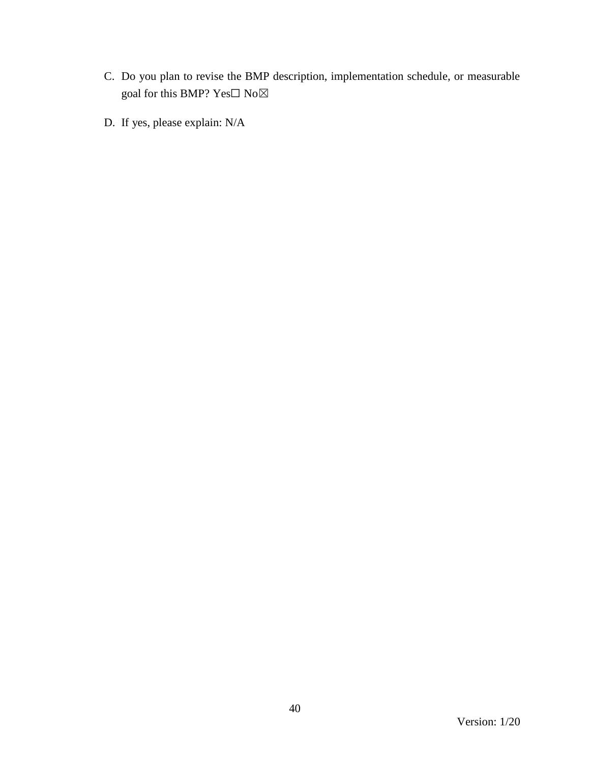- C. Do you plan to revise the BMP description, implementation schedule, or measurable goal for this BMP?  $\mathbf{Yes}\square$   $\mathbf{No}\boxtimes$
- D. If yes, please explain: N/A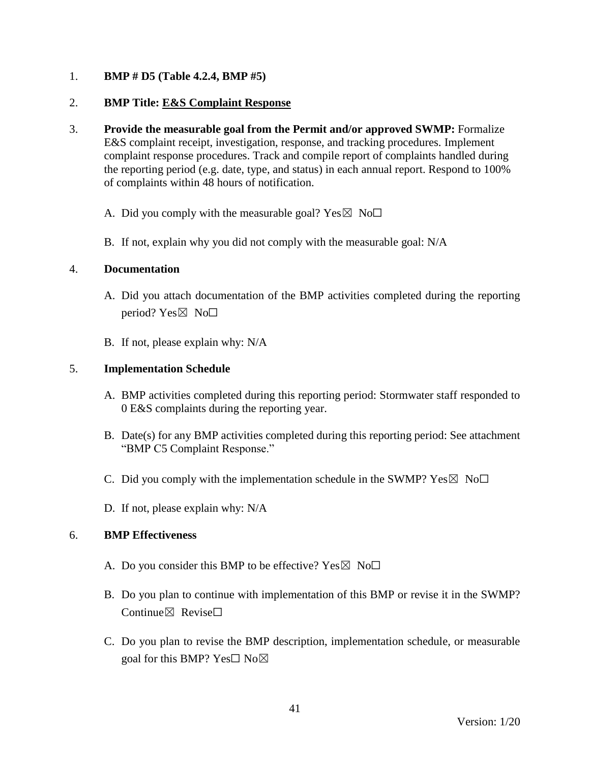## 1. **BMP # D5 (Table 4.2.4, BMP #5)**

## 2. **BMP Title: E&S Complaint Response**

- 3. **Provide the measurable goal from the Permit and/or approved SWMP:** Formalize E&S complaint receipt, investigation, response, and tracking procedures. Implement complaint response procedures. Track and compile report of complaints handled during the reporting period (e.g. date, type, and status) in each annual report. Respond to 100% of complaints within 48 hours of notification.
	- A. Did you comply with the measurable goal? Yes  $\boxtimes$  No $\Box$
	- B. If not, explain why you did not comply with the measurable goal: N/A

### 4. **Documentation**

- A. Did you attach documentation of the BMP activities completed during the reporting period?  $Yes \boxtimes No \Box$
- B. If not, please explain why: N/A

## 5. **Implementation Schedule**

- A. BMP activities completed during this reporting period: Stormwater staff responded to 0 E&S complaints during the reporting year.
- B. Date(s) for any BMP activities completed during this reporting period: See attachment "BMP C5 Complaint Response."
- C. Did you comply with the implementation schedule in the SWMP?  $Yes \boxtimes No \Box$
- D. If not, please explain why: N/A

- A. Do you consider this BMP to be effective? Yes  $\boxtimes$  No $\Box$
- B. Do you plan to continue with implementation of this BMP or revise it in the SWMP? Continue⊠ Revise□
- C. Do you plan to revise the BMP description, implementation schedule, or measurable goal for this BMP? Yes $\square$  No $\square$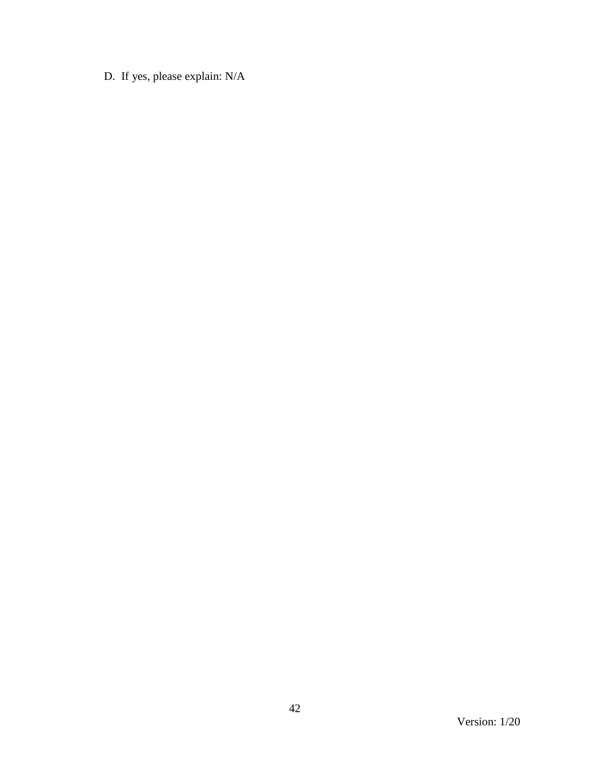D. If yes, please explain: N/A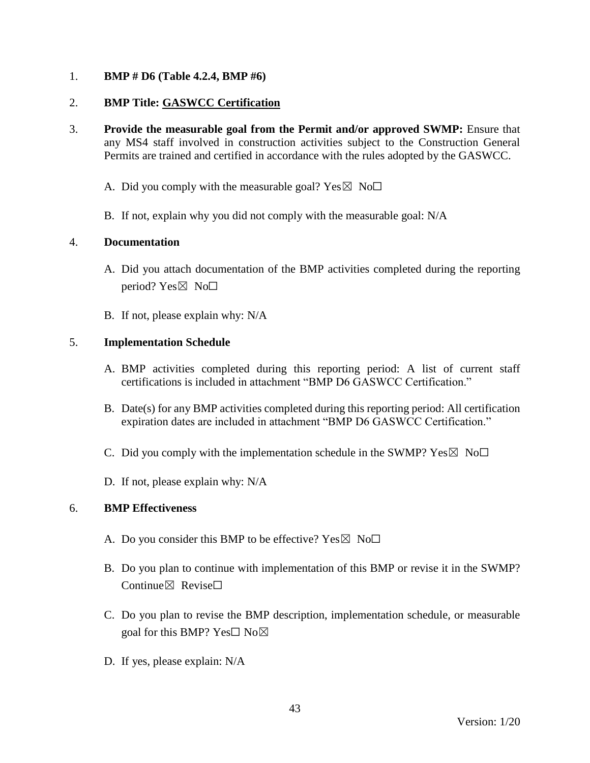## 1. **BMP # D6 (Table 4.2.4, BMP #6)**

## 2. **BMP Title: GASWCC Certification**

- 3. **Provide the measurable goal from the Permit and/or approved SWMP:** Ensure that any MS4 staff involved in construction activities subject to the Construction General Permits are trained and certified in accordance with the rules adopted by the GASWCC.
	- A. Did you comply with the measurable goal? Yes  $\boxtimes$  No $\Box$
	- B. If not, explain why you did not comply with the measurable goal: N/A

## 4. **Documentation**

- A. Did you attach documentation of the BMP activities completed during the reporting period?  $Yes \boxtimes No \square$
- B. If not, please explain why: N/A

## 5. **Implementation Schedule**

- A. BMP activities completed during this reporting period: A list of current staff certifications is included in attachment "BMP D6 GASWCC Certification."
- B. Date(s) for any BMP activities completed during this reporting period: All certification expiration dates are included in attachment "BMP D6 GASWCC Certification."
- C. Did you comply with the implementation schedule in the SWMP?  $Yes \boxtimes No \square$
- D. If not, please explain why: N/A

- A. Do you consider this BMP to be effective? Yes  $\boxtimes$  No $\Box$
- B. Do you plan to continue with implementation of this BMP or revise it in the SWMP? Continue $\nabla$  Revise $\nabla$
- C. Do you plan to revise the BMP description, implementation schedule, or measurable goal for this BMP? Yes□ No⊠
- D. If yes, please explain: N/A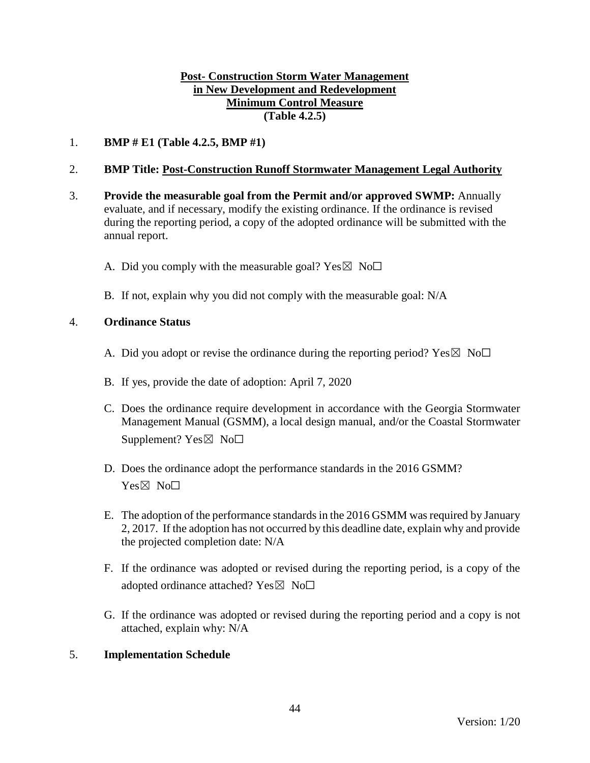## **Post- Construction Storm Water Management in New Development and Redevelopment Minimum Control Measure (Table 4.2.5)**

1. **BMP # E1 (Table 4.2.5, BMP #1)**

## 2. **BMP Title: Post-Construction Runoff Stormwater Management Legal Authority**

- 3. **Provide the measurable goal from the Permit and/or approved SWMP:** Annually evaluate, and if necessary, modify the existing ordinance. If the ordinance is revised during the reporting period, a copy of the adopted ordinance will be submitted with the annual report.
	- A. Did you comply with the measurable goal? Yes  $\boxtimes$  No $\Box$
	- B. If not, explain why you did not comply with the measurable goal: N/A

### 4. **Ordinance Status**

- A. Did you adopt or revise the ordinance during the reporting period? Yes  $\boxtimes$  No $\Box$
- B. If yes, provide the date of adoption: April 7, 2020
- C. Does the ordinance require development in accordance with the Georgia Stormwater Management Manual (GSMM), a local design manual, and/or the Coastal Stormwater Supplement?  $Yes \boxtimes No \Box$
- D. Does the ordinance adopt the performance standards in the 2016 GSMM? Yes⊠ No<sub>□</sub>
- E. The adoption of the performance standards in the 2016 GSMM wasrequired by January 2, 2017. If the adoption has not occurred by this deadline date, explain why and provide the projected completion date: N/A
- F. If the ordinance was adopted or revised during the reporting period, is a copy of the adopted ordinance attached? Yes $\boxtimes$  No $\Box$
- G. If the ordinance was adopted or revised during the reporting period and a copy is not attached, explain why: N/A

### 5. **Implementation Schedule**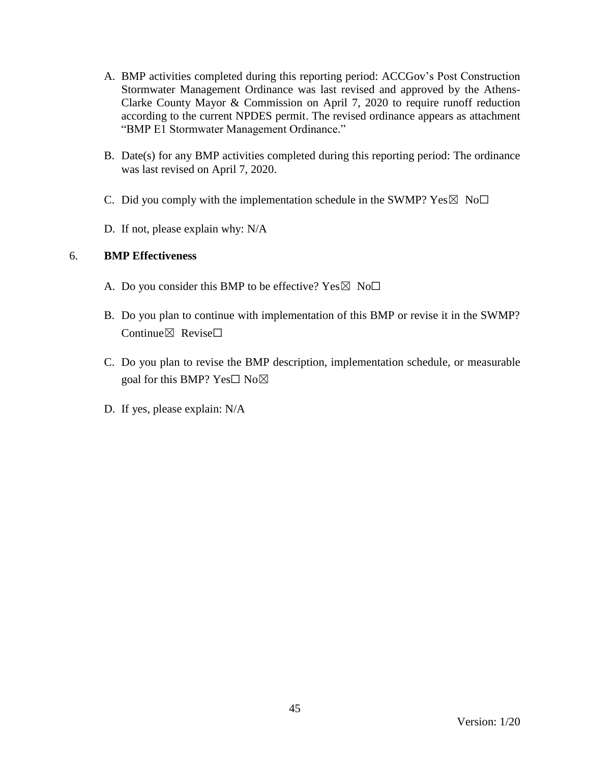- A. BMP activities completed during this reporting period: ACCGov's Post Construction Stormwater Management Ordinance was last revised and approved by the Athens-Clarke County Mayor & Commission on April 7, 2020 to require runoff reduction according to the current NPDES permit. The revised ordinance appears as attachment "BMP E1 Stormwater Management Ordinance."
- B. Date(s) for any BMP activities completed during this reporting period: The ordinance was last revised on April 7, 2020.
- C. Did you comply with the implementation schedule in the SWMP?  $Yes \boxtimes No \square$
- D. If not, please explain why: N/A

- A. Do you consider this BMP to be effective? Yes  $\boxtimes$  No $\Box$
- B. Do you plan to continue with implementation of this BMP or revise it in the SWMP? Continue $\boxtimes$  Revise $\Box$
- C. Do you plan to revise the BMP description, implementation schedule, or measurable goal for this BMP? Yes $\square$  No $\boxtimes$
- D. If yes, please explain: N/A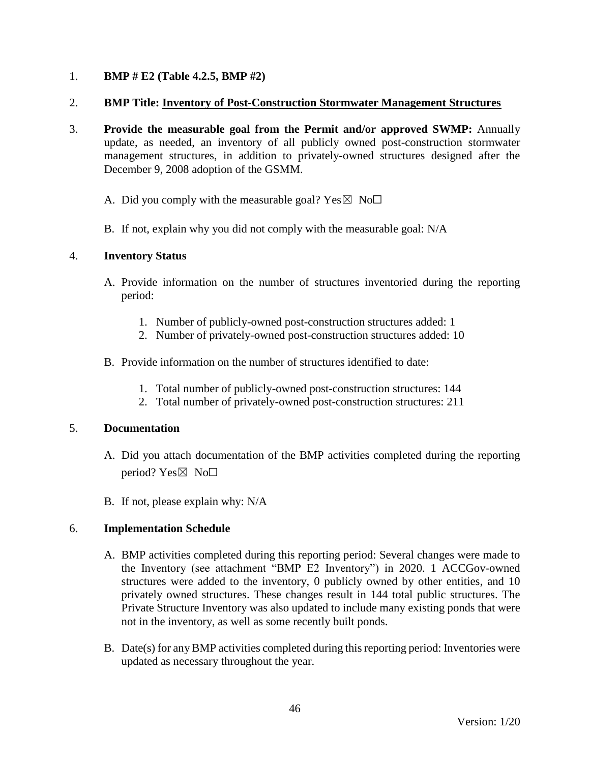## 1. **BMP # E2 (Table 4.2.5, BMP #2)**

### 2. **BMP Title: Inventory of Post-Construction Stormwater Management Structures**

- 3. **Provide the measurable goal from the Permit and/or approved SWMP:** Annually update, as needed, an inventory of all publicly owned post-construction stormwater management structures, in addition to privately-owned structures designed after the December 9, 2008 adoption of the GSMM.
	- A. Did you comply with the measurable goal? Yes  $\boxtimes$  No $\Box$
	- B. If not, explain why you did not comply with the measurable goal: N/A

### 4. **Inventory Status**

- A. Provide information on the number of structures inventoried during the reporting period:
	- 1. Number of publicly-owned post-construction structures added: 1
	- 2. Number of privately-owned post-construction structures added: 10
- B. Provide information on the number of structures identified to date:
	- 1. Total number of publicly-owned post-construction structures: 144
	- 2. Total number of privately-owned post-construction structures: 211

### 5. **Documentation**

- A. Did you attach documentation of the BMP activities completed during the reporting period?  $Yes \boxtimes No \Box$
- B. If not, please explain why: N/A

### 6. **Implementation Schedule**

- A. BMP activities completed during this reporting period: Several changes were made to the Inventory (see attachment "BMP E2 Inventory") in 2020. 1 ACCGov-owned structures were added to the inventory, 0 publicly owned by other entities, and 10 privately owned structures. These changes result in 144 total public structures. The Private Structure Inventory was also updated to include many existing ponds that were not in the inventory, as well as some recently built ponds.
- B. Date(s) for any BMP activities completed during this reporting period: Inventories were updated as necessary throughout the year.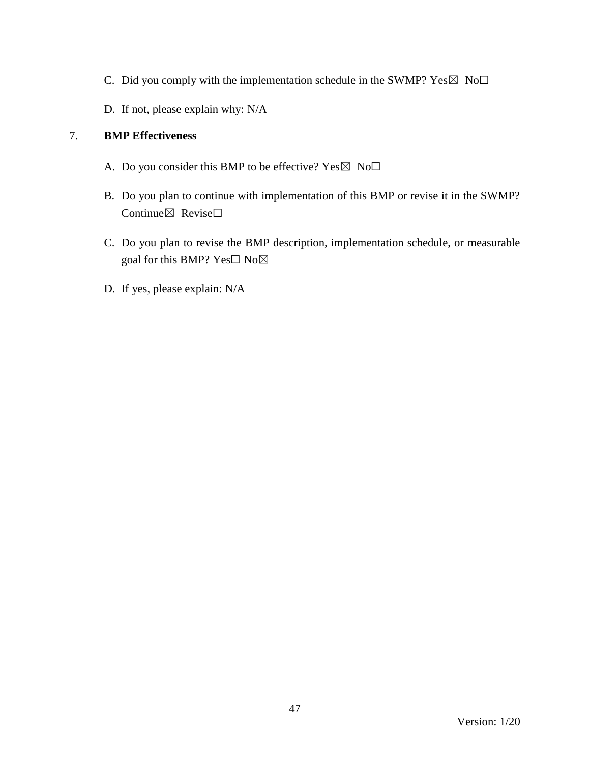- C. Did you comply with the implementation schedule in the SWMP?  $Yes \boxtimes No\square$
- D. If not, please explain why: N/A

- A. Do you consider this BMP to be effective?  $Yes \boxtimes No\square$
- B. Do you plan to continue with implementation of this BMP or revise it in the SWMP? Continue⊠ Revise□
- C. Do you plan to revise the BMP description, implementation schedule, or measurable goal for this BMP? Yes□ No⊠
- D. If yes, please explain: N/A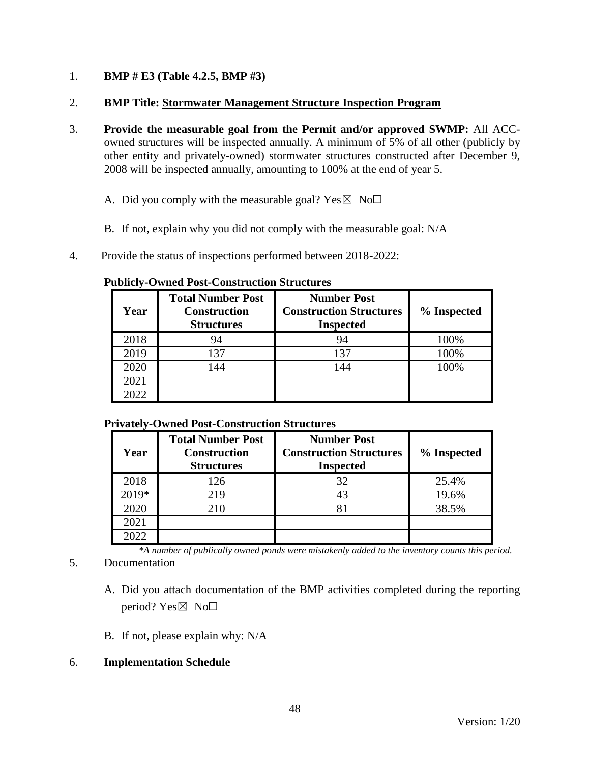## 1. **BMP # E3 (Table 4.2.5, BMP #3)**

### 2. **BMP Title: Stormwater Management Structure Inspection Program**

- 3. **Provide the measurable goal from the Permit and/or approved SWMP:** All ACCowned structures will be inspected annually. A minimum of 5% of all other (publicly by other entity and privately-owned) stormwater structures constructed after December 9, 2008 will be inspected annually, amounting to 100% at the end of year 5.
	- A. Did you comply with the measurable goal? Yes  $\boxtimes$  No $\Box$
	- B. If not, explain why you did not comply with the measurable goal: N/A
- 4. Provide the status of inspections performed between 2018-2022:

#### **Publicly-Owned Post-Construction Structures**

| Year | <b>Total Number Post</b><br><b>Construction</b><br><b>Structures</b> | <b>Number Post</b><br><b>Construction Structures</b><br><b>Inspected</b> | % Inspected |
|------|----------------------------------------------------------------------|--------------------------------------------------------------------------|-------------|
| 2018 | 94                                                                   | 94                                                                       | 100%        |
| 2019 | 137                                                                  | 137                                                                      | 100%        |
| 2020 | 144                                                                  | 144                                                                      | 100%        |
| 2021 |                                                                      |                                                                          |             |
| 2022 |                                                                      |                                                                          |             |

### **Privately-Owned Post-Construction Structures**

| Year    | <b>Total Number Post</b><br><b>Construction</b><br><b>Structures</b> | <b>Number Post</b><br><b>Construction Structures</b><br><b>Inspected</b> | % Inspected |
|---------|----------------------------------------------------------------------|--------------------------------------------------------------------------|-------------|
| 2018    | 126                                                                  | 32                                                                       | 25.4%       |
| $2019*$ | 219                                                                  |                                                                          | 19.6%       |
| 2020    | 210                                                                  |                                                                          | 38.5%       |
| 2021    |                                                                      |                                                                          |             |
| (022)   |                                                                      |                                                                          |             |

*\*A number of publically owned ponds were mistakenly added to the inventory counts this period.*

# 5. Documentation

- A. Did you attach documentation of the BMP activities completed during the reporting period? Yes $\boxtimes$  No $\square$
- B. If not, please explain why: N/A

# 6. **Implementation Schedule**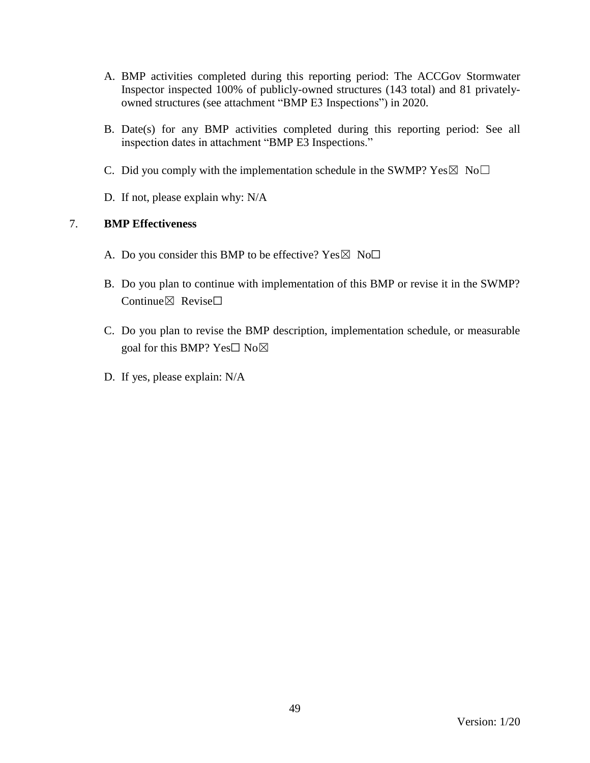- A. BMP activities completed during this reporting period: The ACCGov Stormwater Inspector inspected 100% of publicly-owned structures (143 total) and 81 privatelyowned structures (see attachment "BMP E3 Inspections") in 2020.
- B. Date(s) for any BMP activities completed during this reporting period: See all inspection dates in attachment "BMP E3 Inspections."
- C. Did you comply with the implementation schedule in the SWMP?  $Yes \boxtimes No \square$
- D. If not, please explain why: N/A

- A. Do you consider this BMP to be effective? Yes  $\boxtimes$  No $\Box$
- B. Do you plan to continue with implementation of this BMP or revise it in the SWMP? Continue⊠ Revise□
- C. Do you plan to revise the BMP description, implementation schedule, or measurable goal for this BMP? Yes□ No⊠
- D. If yes, please explain: N/A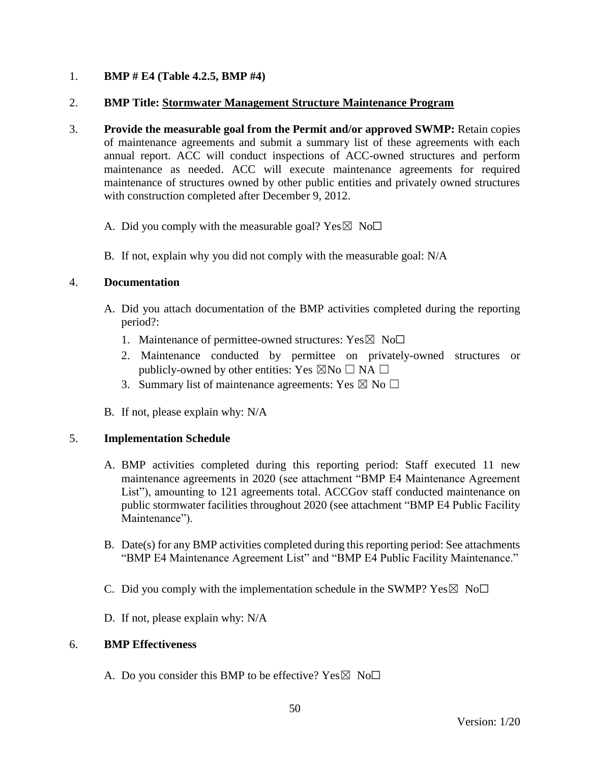## 1. **BMP # E4 (Table 4.2.5, BMP #4)**

### 2. **BMP Title: Stormwater Management Structure Maintenance Program**

- 3. **Provide the measurable goal from the Permit and/or approved SWMP:** Retain copies of maintenance agreements and submit a summary list of these agreements with each annual report. ACC will conduct inspections of ACC-owned structures and perform maintenance as needed. ACC will execute maintenance agreements for required maintenance of structures owned by other public entities and privately owned structures with construction completed after December 9, 2012.
	- A. Did you comply with the measurable goal? Yes  $\boxtimes$  No $\Box$
	- B. If not, explain why you did not comply with the measurable goal: N/A

### 4. **Documentation**

- A. Did you attach documentation of the BMP activities completed during the reporting period?:
	- 1. Maintenance of permittee-owned structures:  $Yes \boxtimes No\square$
	- 2. Maintenance conducted by permittee on privately-owned structures or publicly-owned by other entities: Yes  $\boxtimes$ No  $\Box$  NA  $\Box$
	- 3. Summary list of maintenance agreements: Yes  $\boxtimes$  No  $\Box$
- B. If not, please explain why: N/A

### 5. **Implementation Schedule**

- A. BMP activities completed during this reporting period: Staff executed 11 new maintenance agreements in 2020 (see attachment "BMP E4 Maintenance Agreement List"), amounting to 121 agreements total. ACCGov staff conducted maintenance on public stormwater facilities throughout 2020 (see attachment "BMP E4 Public Facility Maintenance").
- B. Date(s) for any BMP activities completed during this reporting period: See attachments "BMP E4 Maintenance Agreement List" and "BMP E4 Public Facility Maintenance."
- C. Did you comply with the implementation schedule in the SWMP?  $Yes \boxtimes No \Box$
- D. If not, please explain why: N/A

### 6. **BMP Effectiveness**

A. Do you consider this BMP to be effective? Yes  $\boxtimes$  No $\Box$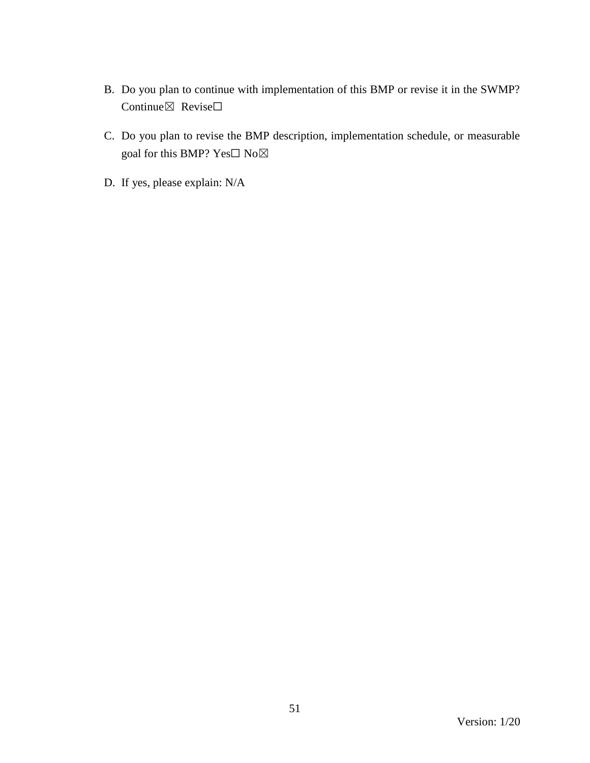- B. Do you plan to continue with implementation of this BMP or revise it in the SWMP? Continue⊠ Revise□
- C. Do you plan to revise the BMP description, implementation schedule, or measurable goal for this BMP? Yes□ No⊠
- D. If yes, please explain: N/A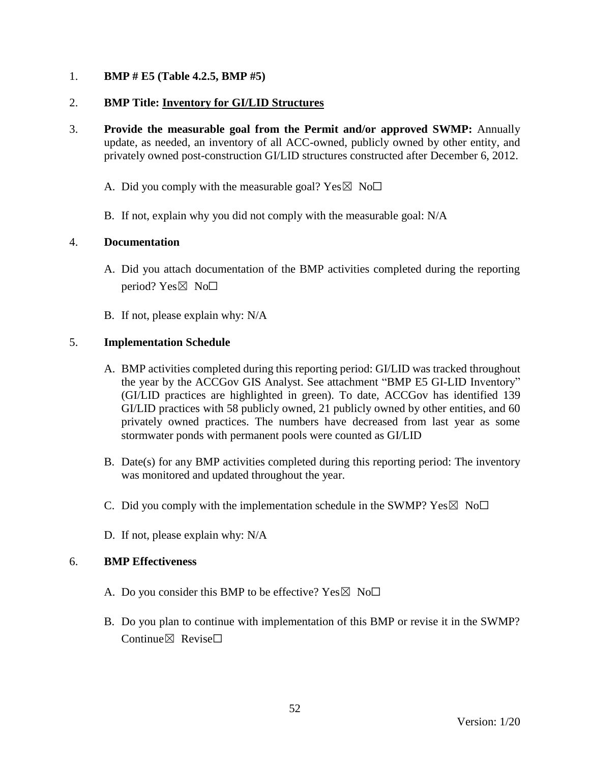## 1. **BMP # E5 (Table 4.2.5, BMP #5)**

## 2. **BMP Title: Inventory for GI/LID Structures**

- 3. **Provide the measurable goal from the Permit and/or approved SWMP:** Annually update, as needed, an inventory of all ACC-owned, publicly owned by other entity, and privately owned post-construction GI/LID structures constructed after December 6, 2012.
	- A. Did you comply with the measurable goal? Yes  $\boxtimes$  No $\Box$
	- B. If not, explain why you did not comply with the measurable goal: N/A

## 4. **Documentation**

- A. Did you attach documentation of the BMP activities completed during the reporting period?  $Yes \boxtimes No \square$
- B. If not, please explain why: N/A

## 5. **Implementation Schedule**

- A. BMP activities completed during this reporting period: GI/LID was tracked throughout the year by the ACCGov GIS Analyst. See attachment "BMP E5 GI-LID Inventory" (GI/LID practices are highlighted in green). To date, ACCGov has identified 139 GI/LID practices with 58 publicly owned, 21 publicly owned by other entities, and 60 privately owned practices. The numbers have decreased from last year as some stormwater ponds with permanent pools were counted as GI/LID
- B. Date(s) for any BMP activities completed during this reporting period: The inventory was monitored and updated throughout the year.
- C. Did you comply with the implementation schedule in the SWMP?  $Yes \boxtimes No\square$
- D. If not, please explain why: N/A

- A. Do you consider this BMP to be effective? Yes  $\boxtimes$  No $\Box$
- B. Do you plan to continue with implementation of this BMP or revise it in the SWMP?  $Confinite \times$  Revise $\Box$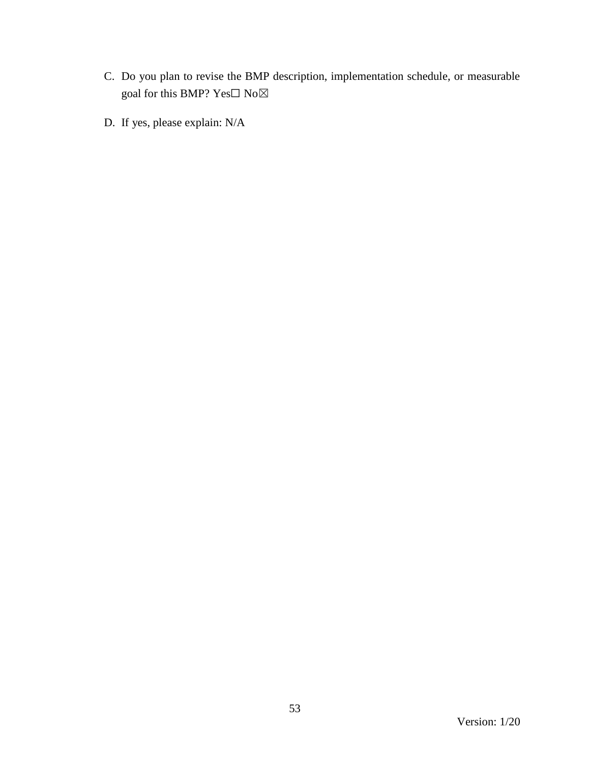- C. Do you plan to revise the BMP description, implementation schedule, or measurable goal for this BMP?  $\mathbf{Yes}\square$   $\mathbf{No}\boxtimes$
- D. If yes, please explain: N/A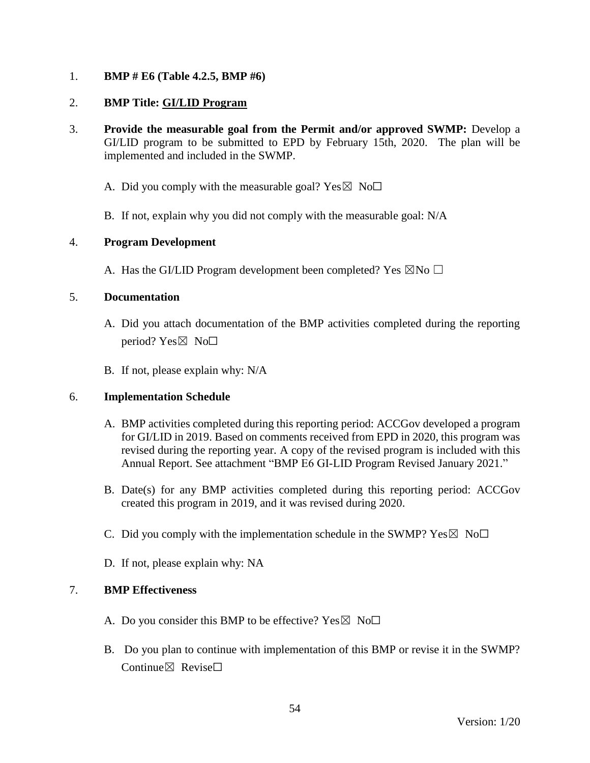## 1. **BMP # E6 (Table 4.2.5, BMP #6)**

### 2. **BMP Title: GI/LID Program**

- 3. **Provide the measurable goal from the Permit and/or approved SWMP:** Develop a GI/LID program to be submitted to EPD by February 15th, 2020. The plan will be implemented and included in the SWMP.
	- A. Did you comply with the measurable goal? Yes  $\boxtimes$  No $\Box$
	- B. If not, explain why you did not comply with the measurable goal: N/A

## 4. **Program Development**

A. Has the GI/LID Program development been completed? Yes  $\boxtimes$ No  $\Box$ 

## 5. **Documentation**

- A. Did you attach documentation of the BMP activities completed during the reporting period? Yes $\boxtimes$  No $\square$
- B. If not, please explain why: N/A

### 6. **Implementation Schedule**

- A. BMP activities completed during this reporting period: ACCGov developed a program for GI/LID in 2019. Based on comments received from EPD in 2020, this program was revised during the reporting year. A copy of the revised program is included with this Annual Report. See attachment "BMP E6 GI-LID Program Revised January 2021."
- B. Date(s) for any BMP activities completed during this reporting period: ACCGov created this program in 2019, and it was revised during 2020.
- C. Did you comply with the implementation schedule in the SWMP?  $Yes \boxtimes No \Box$
- D. If not, please explain why: NA

- A. Do you consider this BMP to be effective? Yes  $\boxtimes$  No $\Box$
- B. Do you plan to continue with implementation of this BMP or revise it in the SWMP? Continue⊠ Revise□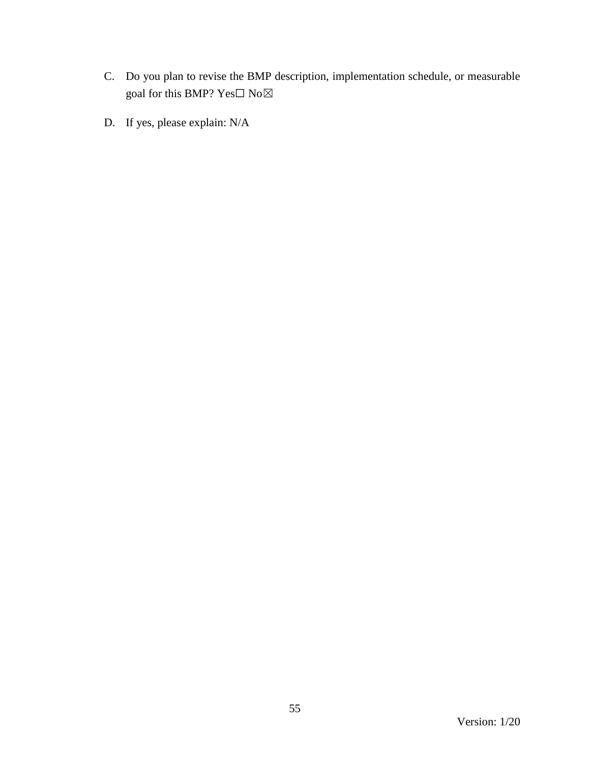- C. Do you plan to revise the BMP description, implementation schedule, or measurable goal for this BMP?  $\mathrm{Yes}\square$   $\mathrm{No}\boxtimes$
- D. If yes, please explain: N/A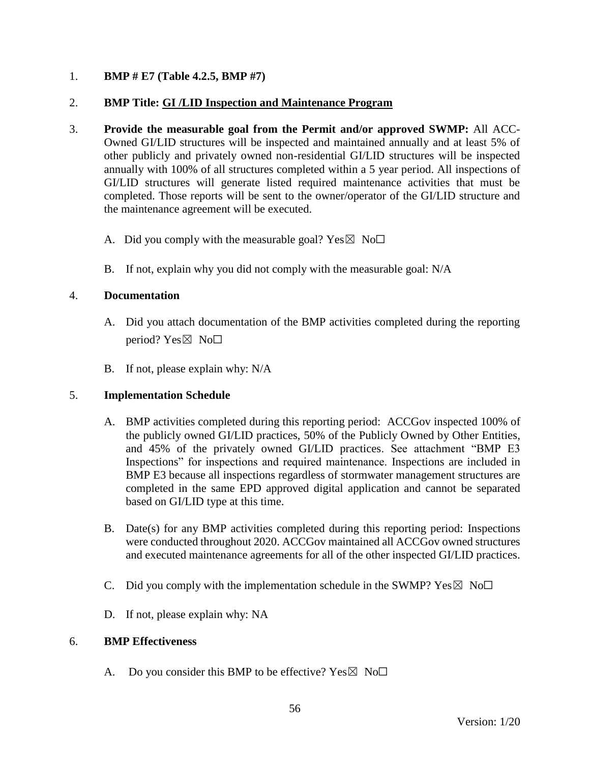## 1. **BMP # E7 (Table 4.2.5, BMP #7)**

### 2. **BMP Title: GI /LID Inspection and Maintenance Program**

- 3. **Provide the measurable goal from the Permit and/or approved SWMP:** All ACC-Owned GI/LID structures will be inspected and maintained annually and at least 5% of other publicly and privately owned non-residential GI/LID structures will be inspected annually with 100% of all structures completed within a 5 year period. All inspections of GI/LID structures will generate listed required maintenance activities that must be completed. Those reports will be sent to the owner/operator of the GI/LID structure and the maintenance agreement will be executed.
	- A. Did you comply with the measurable goal? Yes  $\boxtimes$  No $\Box$
	- B. If not, explain why you did not comply with the measurable goal: N/A

## 4. **Documentation**

- A. Did you attach documentation of the BMP activities completed during the reporting period? Yes $\boxtimes$  No $\square$
- B. If not, please explain why: N/A

### 5. **Implementation Schedule**

- A. BMP activities completed during this reporting period: ACCGov inspected 100% of the publicly owned GI/LID practices, 50% of the Publicly Owned by Other Entities, and 45% of the privately owned GI/LID practices. See attachment "BMP E3 Inspections" for inspections and required maintenance. Inspections are included in BMP E3 because all inspections regardless of stormwater management structures are completed in the same EPD approved digital application and cannot be separated based on GI/LID type at this time.
- B. Date(s) for any BMP activities completed during this reporting period: Inspections were conducted throughout 2020. ACCGov maintained all ACCGov owned structures and executed maintenance agreements for all of the other inspected GI/LID practices.
- C. Did you comply with the implementation schedule in the SWMP?  $Yes \boxtimes No\square$
- D. If not, please explain why: NA

### 6. **BMP Effectiveness**

A. Do you consider this BMP to be effective? Yes  $\boxtimes$  No $\Box$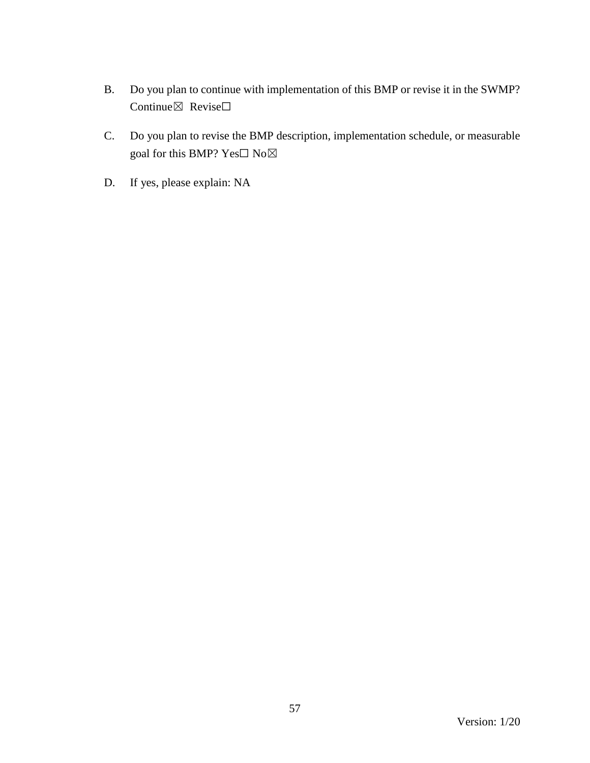- B. Do you plan to continue with implementation of this BMP or revise it in the SWMP? Continue⊠ Revise□
- C. Do you plan to revise the BMP description, implementation schedule, or measurable goal for this BMP? Yes□ No⊠
- D. If yes, please explain: NA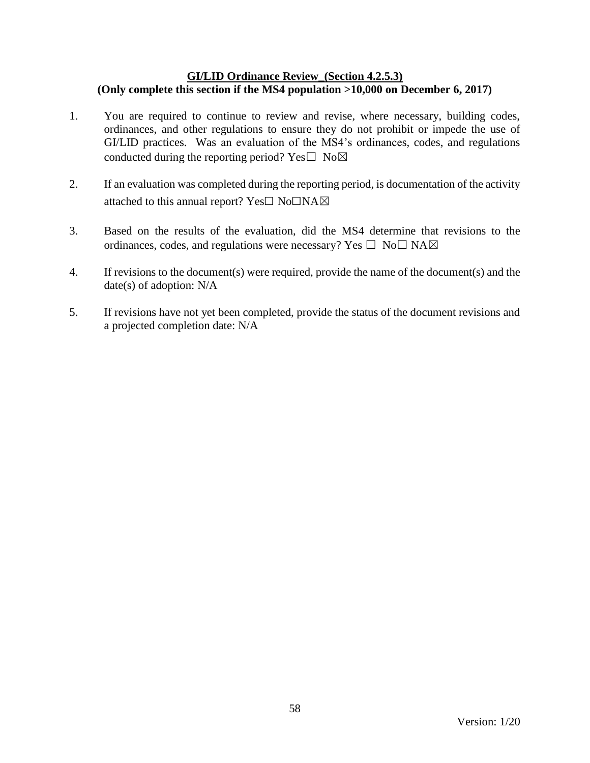### **GI/LID Ordinance Review\_(Section 4.2.5.3) (Only complete this section if the MS4 population >10,000 on December 6, 2017)**

- 1. You are required to continue to review and revise, where necessary, building codes, ordinances, and other regulations to ensure they do not prohibit or impede the use of GI/LID practices. Was an evaluation of the MS4's ordinances, codes, and regulations conducted during the reporting period? Yes $\square$  No $\boxtimes$
- 2. If an evaluation was completed during the reporting period, is documentation of the activity attached to this annual report? Yes☐ No☐NA☒
- 3. Based on the results of the evaluation, did the MS4 determine that revisions to the ordinances, codes, and regulations were necessary? Yes  $\Box$  No $\Box$  NA $\boxtimes$
- 4. If revisions to the document(s) were required, provide the name of the document(s) and the date(s) of adoption: N/A
- 5. If revisions have not yet been completed, provide the status of the document revisions and a projected completion date: N/A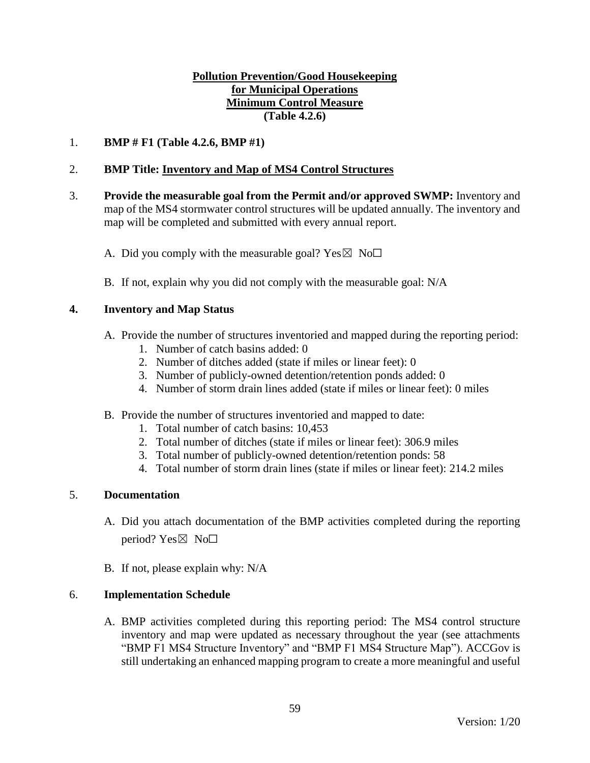## **Pollution Prevention/Good Housekeeping for Municipal Operations Minimum Control Measure (Table 4.2.6)**

## 1. **BMP # F1 (Table 4.2.6, BMP #1)**

## 2. **BMP Title: Inventory and Map of MS4 Control Structures**

- 3. **Provide the measurable goal from the Permit and/or approved SWMP:** Inventory and map of the MS4 stormwater control structures will be updated annually. The inventory and map will be completed and submitted with every annual report.
	- A. Did you comply with the measurable goal? Yes  $\boxtimes$  No $\Box$
	- B. If not, explain why you did not comply with the measurable goal: N/A

### **4. Inventory and Map Status**

- A. Provide the number of structures inventoried and mapped during the reporting period:
	- 1. Number of catch basins added: 0
	- 2. Number of ditches added (state if miles or linear feet): 0
	- 3. Number of publicly-owned detention/retention ponds added: 0
	- 4. Number of storm drain lines added (state if miles or linear feet): 0 miles
- B. Provide the number of structures inventoried and mapped to date:
	- 1. Total number of catch basins: 10,453
	- 2. Total number of ditches (state if miles or linear feet): 306.9 miles
	- 3. Total number of publicly-owned detention/retention ponds: 58
	- 4. Total number of storm drain lines (state if miles or linear feet): 214.2 miles

## 5. **Documentation**

- A. Did you attach documentation of the BMP activities completed during the reporting period? Yes $\boxtimes$  No $\square$
- B. If not, please explain why: N/A

### 6. **Implementation Schedule**

A. BMP activities completed during this reporting period: The MS4 control structure inventory and map were updated as necessary throughout the year (see attachments "BMP F1 MS4 Structure Inventory" and "BMP F1 MS4 Structure Map"). ACCGov is still undertaking an enhanced mapping program to create a more meaningful and useful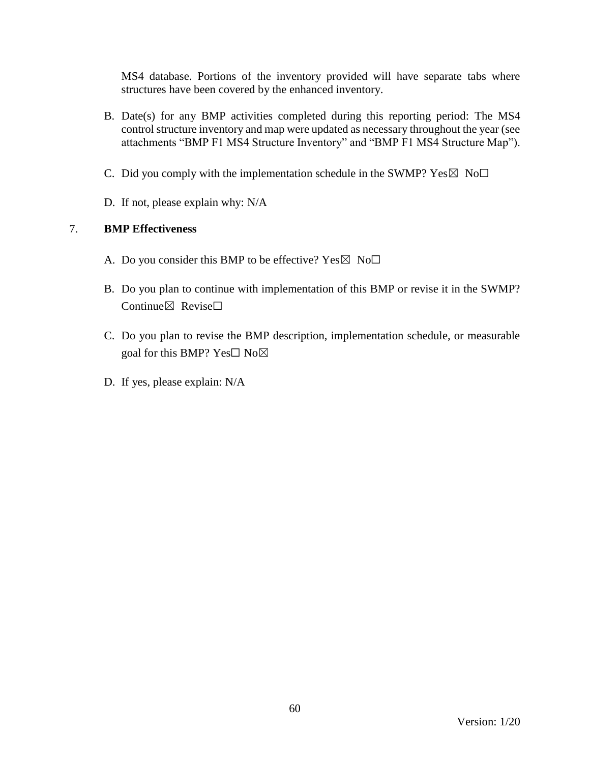MS4 database. Portions of the inventory provided will have separate tabs where structures have been covered by the enhanced inventory.

- B. Date(s) for any BMP activities completed during this reporting period: The MS4 control structure inventory and map were updated as necessary throughout the year (see attachments "BMP F1 MS4 Structure Inventory" and "BMP F1 MS4 Structure Map").
- C. Did you comply with the implementation schedule in the SWMP?  $Yes \boxtimes No \Box$
- D. If not, please explain why: N/A

- A. Do you consider this BMP to be effective? Yes  $\boxtimes$  No $\Box$
- B. Do you plan to continue with implementation of this BMP or revise it in the SWMP? Continue⊠ Revise□
- C. Do you plan to revise the BMP description, implementation schedule, or measurable goal for this BMP? Yes□ No⊠
- D. If yes, please explain: N/A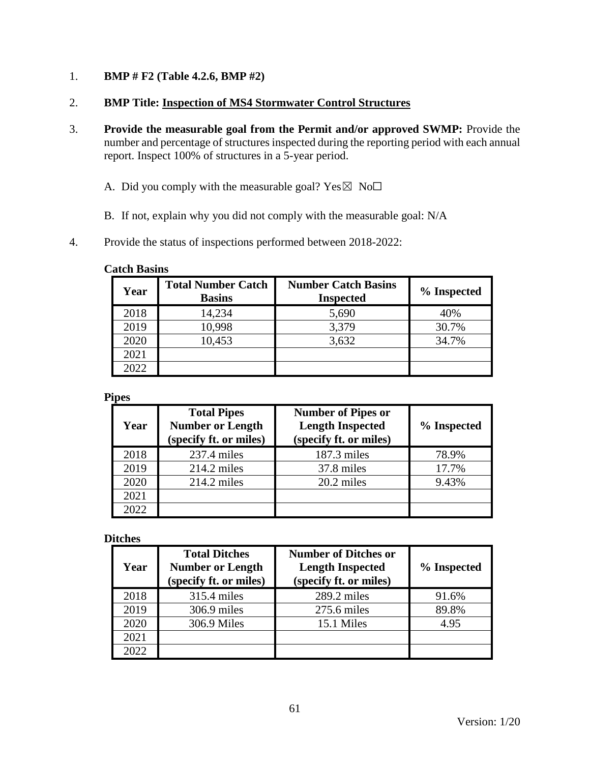- 1. **BMP # F2 (Table 4.2.6, BMP #2)**
- 2. **BMP Title: Inspection of MS4 Stormwater Control Structures**
- 3. **Provide the measurable goal from the Permit and/or approved SWMP:** Provide the number and percentage of structures inspected during the reporting period with each annual report. Inspect 100% of structures in a 5-year period.
	- A. Did you comply with the measurable goal? Yes $\boxtimes$  No $\Box$
	- B. If not, explain why you did not comply with the measurable goal: N/A
- 4. Provide the status of inspections performed between 2018-2022:

#### **Catch Basins**

| Year | <b>Total Number Catch</b><br><b>Basins</b> | <b>Number Catch Basins</b><br><b>Inspected</b> | % Inspected |
|------|--------------------------------------------|------------------------------------------------|-------------|
| 2018 | 14,234                                     | 5,690                                          | 40%         |
| 2019 | 10,998                                     | 3,379                                          | 30.7%       |
| 2020 | 10,453                                     | 3,632                                          | 34.7%       |
| 2021 |                                            |                                                |             |
| 2022 |                                            |                                                |             |

### **Pipes**

| Year | <b>Total Pipes</b><br><b>Number or Length</b><br>(specify ft. or miles) | <b>Number of Pipes or</b><br><b>Length Inspected</b><br>(specify ft. or miles) | % Inspected |
|------|-------------------------------------------------------------------------|--------------------------------------------------------------------------------|-------------|
| 2018 | $237.4$ miles                                                           | 187.3 miles                                                                    | 78.9%       |
| 2019 | $214.2$ miles                                                           | 37.8 miles                                                                     | 17.7%       |
| 2020 | $214.2$ miles                                                           | 20.2 miles                                                                     | 9.43%       |
| 2021 |                                                                         |                                                                                |             |
| 2022 |                                                                         |                                                                                |             |

#### **Ditches**

| Year | <b>Total Ditches</b><br><b>Number or Length</b><br>(specify ft. or miles) | <b>Number of Ditches or</b><br><b>Length Inspected</b><br>(specify ft. or miles) | % Inspected |
|------|---------------------------------------------------------------------------|----------------------------------------------------------------------------------|-------------|
| 2018 | 315.4 miles                                                               | $289.2$ miles                                                                    | 91.6%       |
| 2019 | $306.9$ miles                                                             | 275.6 miles                                                                      | 89.8%       |
| 2020 | 306.9 Miles                                                               | 15.1 Miles                                                                       | 4.95        |
| 2021 |                                                                           |                                                                                  |             |
| 2022 |                                                                           |                                                                                  |             |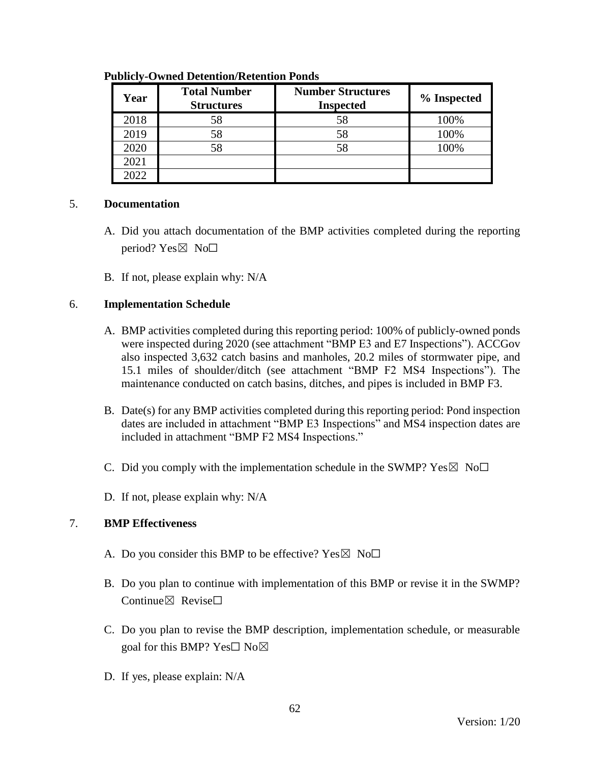| Year | <b>Total Number</b><br><b>Structures</b> | <b>Number Structures</b><br><b>Inspected</b> | % Inspected |
|------|------------------------------------------|----------------------------------------------|-------------|
| 2018 | 58                                       | 58                                           | 100%        |
| 2019 | 58                                       |                                              | 100%        |
| 2020 | 58                                       |                                              | 100%        |
| 2021 |                                          |                                              |             |
| 2022 |                                          |                                              |             |

#### **Publicly-Owned Detention/Retention Ponds**

### 5. **Documentation**

- A. Did you attach documentation of the BMP activities completed during the reporting period? Yes $\boxtimes$  No $\square$
- B. If not, please explain why: N/A

### 6. **Implementation Schedule**

- A. BMP activities completed during this reporting period: 100% of publicly-owned ponds were inspected during 2020 (see attachment "BMP E3 and E7 Inspections"). ACCGov also inspected 3,632 catch basins and manholes, 20.2 miles of stormwater pipe, and 15.1 miles of shoulder/ditch (see attachment "BMP F2 MS4 Inspections"). The maintenance conducted on catch basins, ditches, and pipes is included in BMP F3.
- B. Date(s) for any BMP activities completed during this reporting period: Pond inspection dates are included in attachment "BMP E3 Inspections" and MS4 inspection dates are included in attachment "BMP F2 MS4 Inspections."
- C. Did you comply with the implementation schedule in the SWMP?  $Yes \boxtimes No \Box$
- D. If not, please explain why: N/A

- A. Do you consider this BMP to be effective? Yes  $\boxtimes$  No $\Box$
- B. Do you plan to continue with implementation of this BMP or revise it in the SWMP? Continue $\boxtimes$  Revise $\Box$
- C. Do you plan to revise the BMP description, implementation schedule, or measurable goal for this BMP? Yes□ No⊠
- D. If yes, please explain: N/A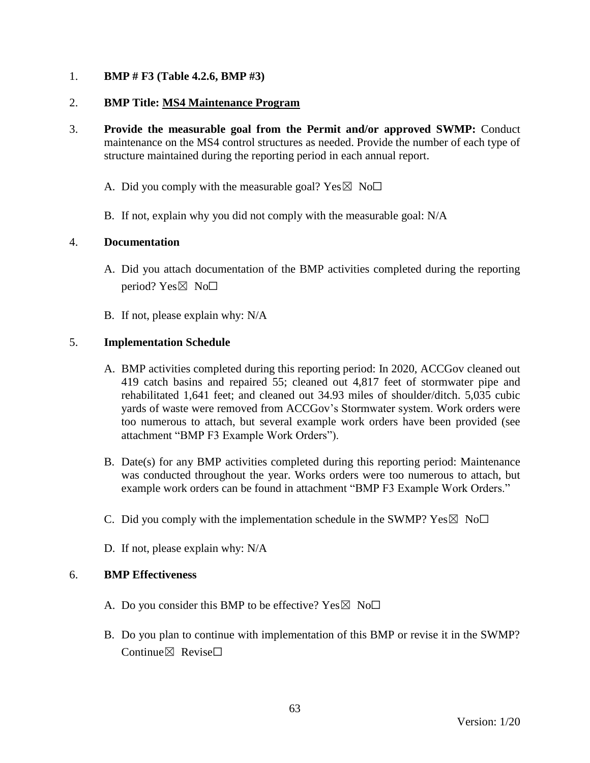## 1. **BMP # F3 (Table 4.2.6, BMP #3)**

### 2. **BMP Title: MS4 Maintenance Program**

- 3. **Provide the measurable goal from the Permit and/or approved SWMP:** Conduct maintenance on the MS4 control structures as needed. Provide the number of each type of structure maintained during the reporting period in each annual report.
	- A. Did you comply with the measurable goal? Yes  $\boxtimes$  No $\Box$
	- B. If not, explain why you did not comply with the measurable goal: N/A

## 4. **Documentation**

- A. Did you attach documentation of the BMP activities completed during the reporting period? Yes⊠ No□
- B. If not, please explain why: N/A

## 5. **Implementation Schedule**

- A. BMP activities completed during this reporting period: In 2020, ACCGov cleaned out 419 catch basins and repaired 55; cleaned out 4,817 feet of stormwater pipe and rehabilitated 1,641 feet; and cleaned out 34.93 miles of shoulder/ditch. 5,035 cubic yards of waste were removed from ACCGov's Stormwater system. Work orders were too numerous to attach, but several example work orders have been provided (see attachment "BMP F3 Example Work Orders").
- B. Date(s) for any BMP activities completed during this reporting period: Maintenance was conducted throughout the year. Works orders were too numerous to attach, but example work orders can be found in attachment "BMP F3 Example Work Orders."
- C. Did you comply with the implementation schedule in the SWMP?  $Yes \boxtimes No \Box$
- D. If not, please explain why: N/A

- A. Do you consider this BMP to be effective? Yes  $\boxtimes$  No $\Box$
- B. Do you plan to continue with implementation of this BMP or revise it in the SWMP? Continue $\boxtimes$  Revise $\Box$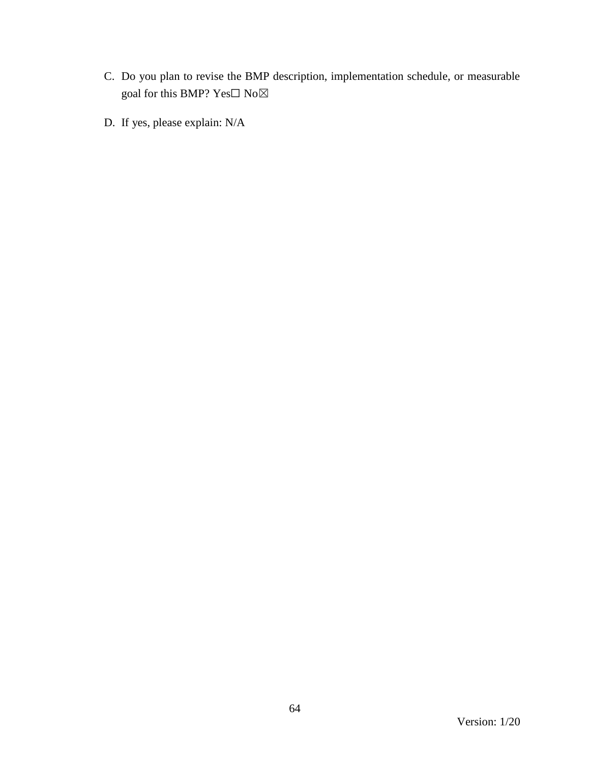- C. Do you plan to revise the BMP description, implementation schedule, or measurable goal for this BMP?  $\mathbf{Yes}\square$   $\mathbf{No}\boxtimes$
- D. If yes, please explain: N/A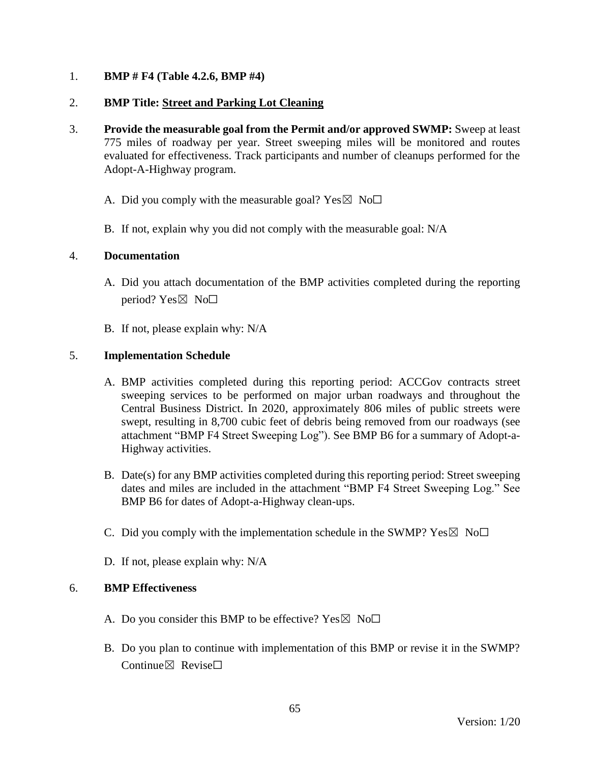## 1. **BMP # F4 (Table 4.2.6, BMP #4)**

## 2. **BMP Title: Street and Parking Lot Cleaning**

- 3. **Provide the measurable goal from the Permit and/or approved SWMP:** Sweep at least 775 miles of roadway per year. Street sweeping miles will be monitored and routes evaluated for effectiveness. Track participants and number of cleanups performed for the Adopt-A-Highway program.
	- A. Did you comply with the measurable goal? Yes  $\boxtimes$  No $\Box$
	- B. If not, explain why you did not comply with the measurable goal: N/A

### 4. **Documentation**

- A. Did you attach documentation of the BMP activities completed during the reporting period? Yes $\boxtimes$  No $\square$
- B. If not, please explain why: N/A

## 5. **Implementation Schedule**

- A. BMP activities completed during this reporting period: ACCGov contracts street sweeping services to be performed on major urban roadways and throughout the Central Business District. In 2020, approximately 806 miles of public streets were swept, resulting in 8,700 cubic feet of debris being removed from our roadways (see attachment "BMP F4 Street Sweeping Log"). See BMP B6 for a summary of Adopt-a-Highway activities.
- B. Date(s) for any BMP activities completed during this reporting period: Street sweeping dates and miles are included in the attachment "BMP F4 Street Sweeping Log." See BMP B6 for dates of Adopt-a-Highway clean-ups.
- C. Did you comply with the implementation schedule in the SWMP?  $Yes \boxtimes No \square$
- D. If not, please explain why: N/A

- A. Do you consider this BMP to be effective? Yes  $\boxtimes$  No $\Box$
- B. Do you plan to continue with implementation of this BMP or revise it in the SWMP? Continue $\nabla$  Revise $\nabla$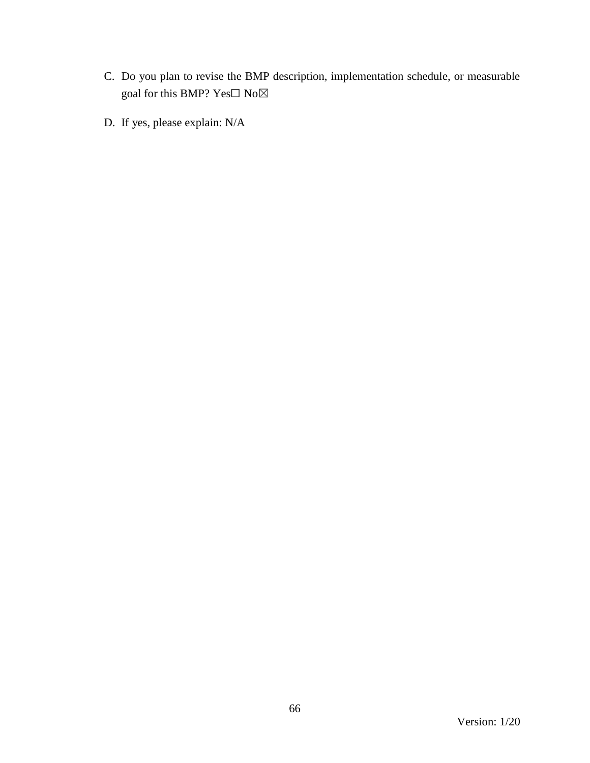- C. Do you plan to revise the BMP description, implementation schedule, or measurable goal for this BMP?  $\mathbf{Yes}\square$   $\mathbf{No}\boxtimes$
- D. If yes, please explain: N/A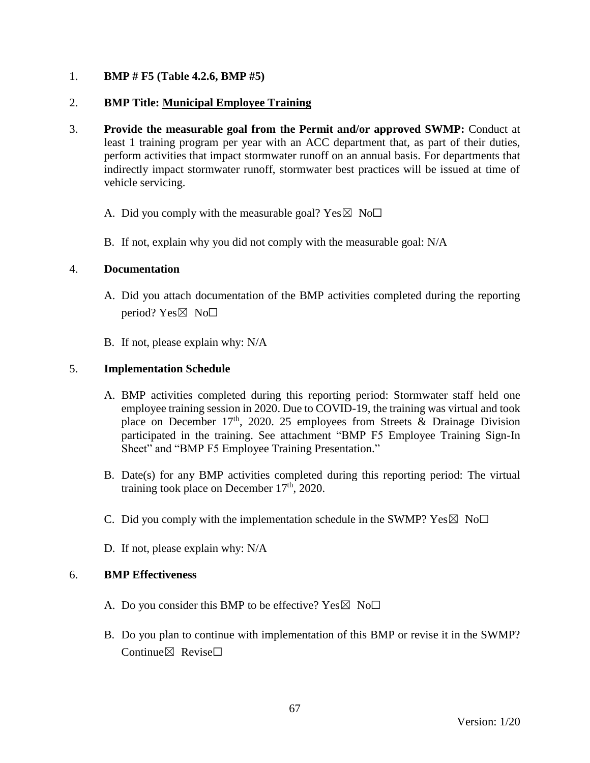## 1. **BMP # F5 (Table 4.2.6, BMP #5)**

## 2. **BMP Title: Municipal Employee Training**

- 3. **Provide the measurable goal from the Permit and/or approved SWMP:** Conduct at least 1 training program per year with an ACC department that, as part of their duties, perform activities that impact stormwater runoff on an annual basis. For departments that indirectly impact stormwater runoff, stormwater best practices will be issued at time of vehicle servicing.
	- A. Did you comply with the measurable goal? Yes  $\boxtimes$  No $\Box$
	- B. If not, explain why you did not comply with the measurable goal: N/A

### 4. **Documentation**

- A. Did you attach documentation of the BMP activities completed during the reporting period?  $Yes \boxtimes No \Box$
- B. If not, please explain why: N/A

## 5. **Implementation Schedule**

- A. BMP activities completed during this reporting period: Stormwater staff held one employee training session in 2020. Due to COVID-19, the training was virtual and took place on December 17<sup>th</sup>, 2020. 25 employees from Streets & Drainage Division participated in the training. See attachment "BMP F5 Employee Training Sign-In Sheet" and "BMP F5 Employee Training Presentation."
- B. Date(s) for any BMP activities completed during this reporting period: The virtual training took place on December  $17<sup>th</sup>$ , 2020.
- C. Did you comply with the implementation schedule in the SWMP?  $Yes \boxtimes No \Box$
- D. If not, please explain why: N/A

- A. Do you consider this BMP to be effective? Yes  $\boxtimes$  No $\Box$
- B. Do you plan to continue with implementation of this BMP or revise it in the SWMP? Continue $\boxtimes$  Revise $\Box$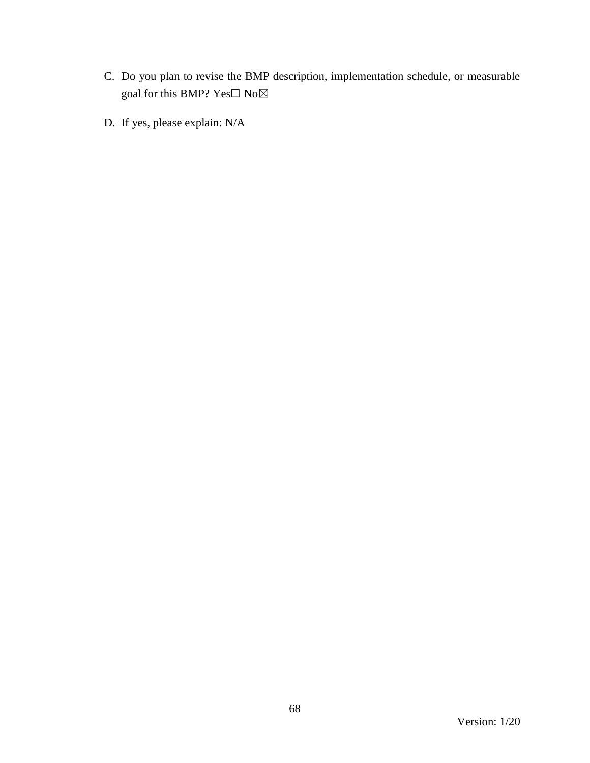- C. Do you plan to revise the BMP description, implementation schedule, or measurable goal for this BMP?  $\mathbf{Yes}\square$   $\mathbf{No}\boxtimes$
- D. If yes, please explain: N/A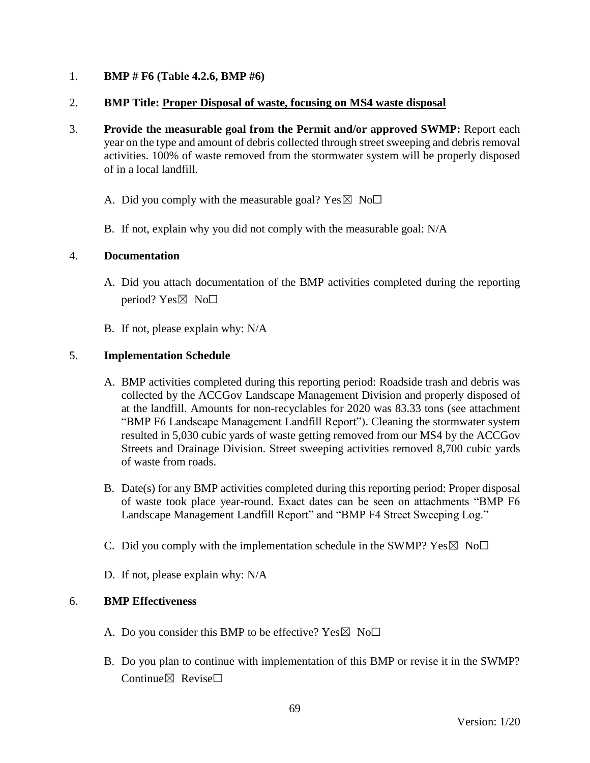## 1. **BMP # F6 (Table 4.2.6, BMP #6)**

## 2. **BMP Title: Proper Disposal of waste, focusing on MS4 waste disposal**

- 3. **Provide the measurable goal from the Permit and/or approved SWMP:** Report each year on the type and amount of debris collected through street sweeping and debris removal activities. 100% of waste removed from the stormwater system will be properly disposed of in a local landfill.
	- A. Did you comply with the measurable goal? Yes  $\boxtimes$  No $\Box$
	- B. If not, explain why you did not comply with the measurable goal: N/A

### 4. **Documentation**

- A. Did you attach documentation of the BMP activities completed during the reporting period? Yes $\boxtimes$  No $\square$
- B. If not, please explain why: N/A

## 5. **Implementation Schedule**

- A. BMP activities completed during this reporting period: Roadside trash and debris was collected by the ACCGov Landscape Management Division and properly disposed of at the landfill. Amounts for non-recyclables for 2020 was 83.33 tons (see attachment "BMP F6 Landscape Management Landfill Report"). Cleaning the stormwater system resulted in 5,030 cubic yards of waste getting removed from our MS4 by the ACCGov Streets and Drainage Division. Street sweeping activities removed 8,700 cubic yards of waste from roads.
- B. Date(s) for any BMP activities completed during this reporting period: Proper disposal of waste took place year-round. Exact dates can be seen on attachments "BMP F6 Landscape Management Landfill Report" and "BMP F4 Street Sweeping Log."
- C. Did you comply with the implementation schedule in the SWMP?  $Yes \boxtimes No \Box$
- D. If not, please explain why: N/A

- A. Do you consider this BMP to be effective? Yes  $\boxtimes$  No $\Box$
- B. Do you plan to continue with implementation of this BMP or revise it in the SWMP? Continue⊠ Revise□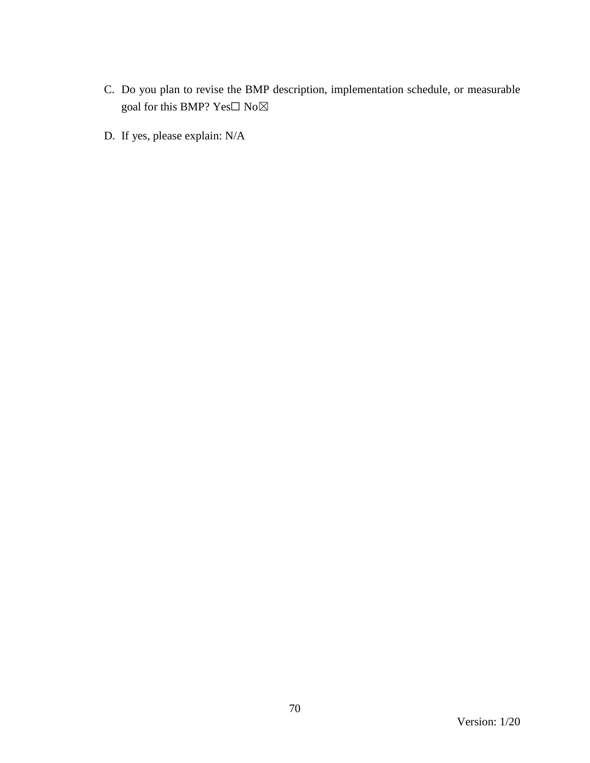- C. Do you plan to revise the BMP description, implementation schedule, or measurable goal for this BMP? Yes $\Box$  No $\boxtimes$
- D. If yes, please explain: N/A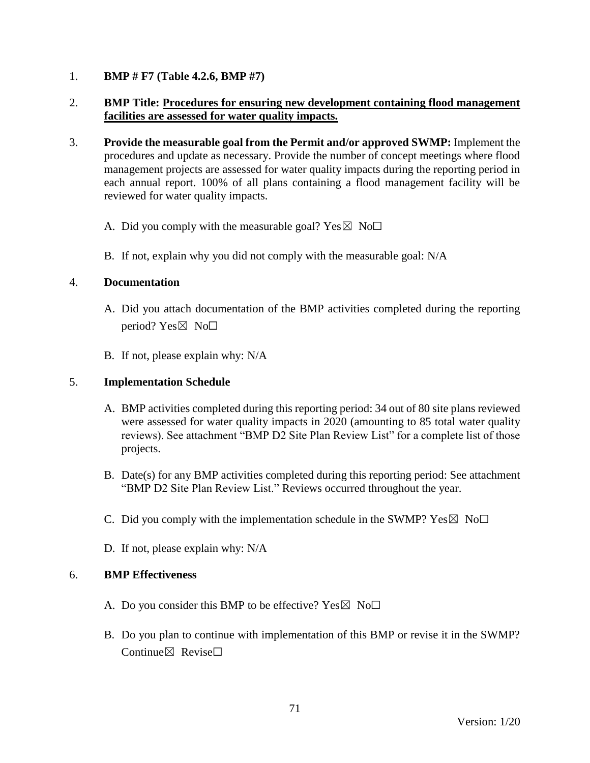## 1. **BMP # F7 (Table 4.2.6, BMP #7)**

## 2. **BMP Title: Procedures for ensuring new development containing flood management facilities are assessed for water quality impacts.**

- 3. **Provide the measurable goal from the Permit and/or approved SWMP:** Implement the procedures and update as necessary. Provide the number of concept meetings where flood management projects are assessed for water quality impacts during the reporting period in each annual report. 100% of all plans containing a flood management facility will be reviewed for water quality impacts.
	- A. Did you comply with the measurable goal? Yes  $\boxtimes$  No $\Box$
	- B. If not, explain why you did not comply with the measurable goal: N/A

### 4. **Documentation**

- A. Did you attach documentation of the BMP activities completed during the reporting period? Yes $\boxtimes$  No $\square$
- B. If not, please explain why: N/A

### 5. **Implementation Schedule**

- A. BMP activities completed during this reporting period: 34 out of 80 site plans reviewed were assessed for water quality impacts in 2020 (amounting to 85 total water quality reviews). See attachment "BMP D2 Site Plan Review List" for a complete list of those projects.
- B. Date(s) for any BMP activities completed during this reporting period: See attachment "BMP D2 Site Plan Review List." Reviews occurred throughout the year.
- C. Did you comply with the implementation schedule in the SWMP?  $Yes \boxtimes No \Box$
- D. If not, please explain why: N/A

- A. Do you consider this BMP to be effective? Yes  $\boxtimes$  No $\Box$
- B. Do you plan to continue with implementation of this BMP or revise it in the SWMP? Continue $\boxtimes$  Revise $\Box$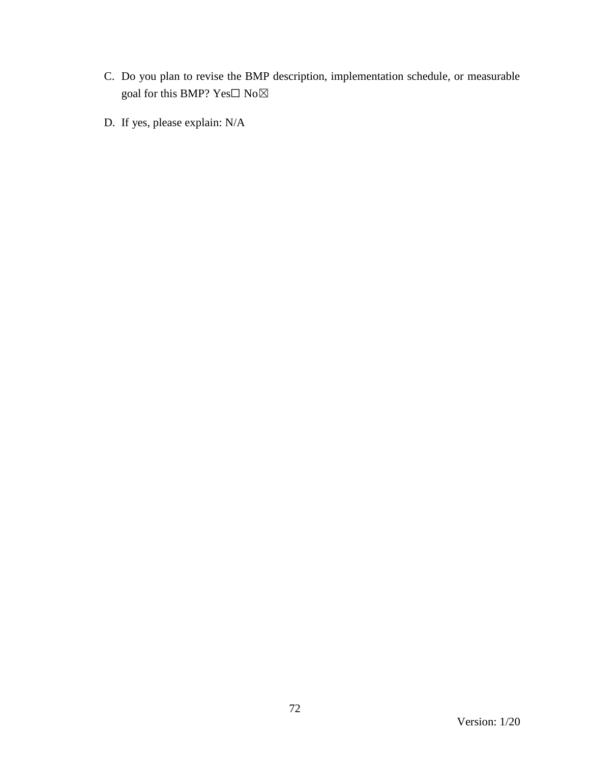- C. Do you plan to revise the BMP description, implementation schedule, or measurable goal for this BMP?  $\mathbf{Yes}\square$   $\mathbf{No}\boxtimes$
- D. If yes, please explain: N/A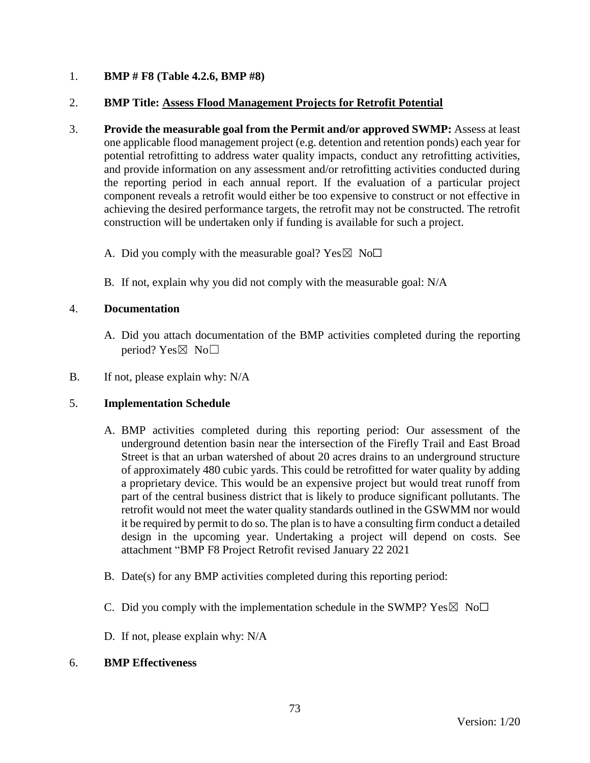## 1. **BMP # F8 (Table 4.2.6, BMP #8)**

### 2. **BMP Title: Assess Flood Management Projects for Retrofit Potential**

- 3. **Provide the measurable goal from the Permit and/or approved SWMP:** Assess at least one applicable flood management project (e.g. detention and retention ponds) each year for potential retrofitting to address water quality impacts, conduct any retrofitting activities, and provide information on any assessment and/or retrofitting activities conducted during the reporting period in each annual report. If the evaluation of a particular project component reveals a retrofit would either be too expensive to construct or not effective in achieving the desired performance targets, the retrofit may not be constructed. The retrofit construction will be undertaken only if funding is available for such a project.
	- A. Did you comply with the measurable goal? Yes  $\boxtimes$  No $\Box$
	- B. If not, explain why you did not comply with the measurable goal: N/A

#### 4. **Documentation**

- A. Did you attach documentation of the BMP activities completed during the reporting period? Yes $\boxtimes$  No $\square$
- B. If not, please explain why: N/A

#### 5. **Implementation Schedule**

- A. BMP activities completed during this reporting period: Our assessment of the underground detention basin near the intersection of the Firefly Trail and East Broad Street is that an urban watershed of about 20 acres drains to an underground structure of approximately 480 cubic yards. This could be retrofitted for water quality by adding a proprietary device. This would be an expensive project but would treat runoff from part of the central business district that is likely to produce significant pollutants. The retrofit would not meet the water quality standards outlined in the GSWMM nor would it be required by permit to do so. The plan is to have a consulting firm conduct a detailed design in the upcoming year. Undertaking a project will depend on costs. See attachment "BMP F8 Project Retrofit revised January 22 2021
- B. Date(s) for any BMP activities completed during this reporting period:
- C. Did you comply with the implementation schedule in the SWMP?  $Yes \boxtimes No \square$
- D. If not, please explain why: N/A

#### 6. **BMP Effectiveness**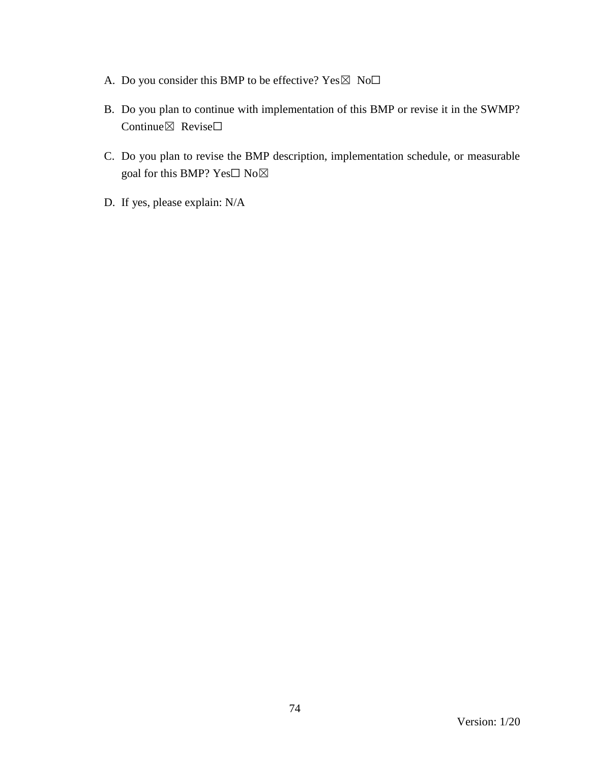- A. Do you consider this BMP to be effective?  $Yes \boxtimes No\square$
- B. Do you plan to continue with implementation of this BMP or revise it in the SWMP? Continue⊠ Revise□
- C. Do you plan to revise the BMP description, implementation schedule, or measurable goal for this BMP? Yes□ No⊠
- D. If yes, please explain: N/A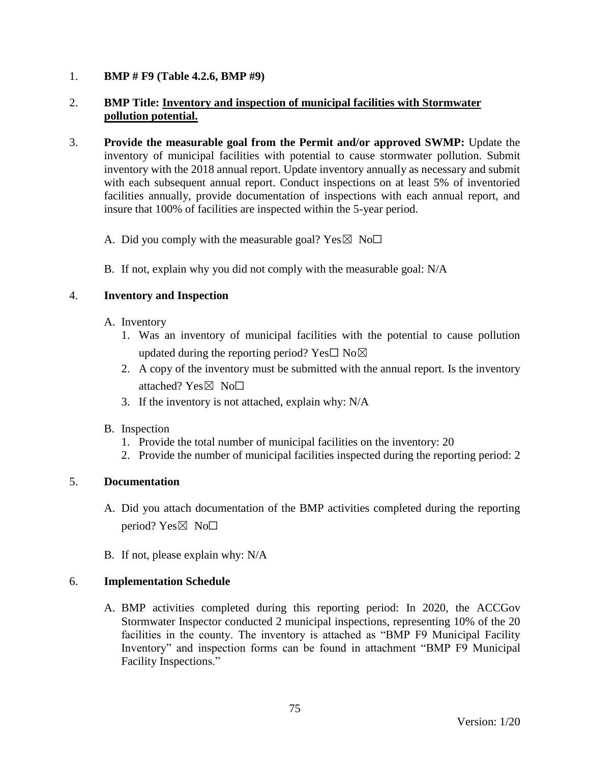## 1. **BMP # F9 (Table 4.2.6, BMP #9)**

## 2. **BMP Title: Inventory and inspection of municipal facilities with Stormwater pollution potential.**

- 3. **Provide the measurable goal from the Permit and/or approved SWMP:** Update the inventory of municipal facilities with potential to cause stormwater pollution. Submit inventory with the 2018 annual report. Update inventory annually as necessary and submit with each subsequent annual report. Conduct inspections on at least 5% of inventoried facilities annually, provide documentation of inspections with each annual report, and insure that 100% of facilities are inspected within the 5-year period.
	- A. Did you comply with the measurable goal? Yes  $\boxtimes$  No $\Box$
	- B. If not, explain why you did not comply with the measurable goal: N/A

## 4. **Inventory and Inspection**

- A. Inventory
	- 1. Was an inventory of municipal facilities with the potential to cause pollution updated during the reporting period? Yes $\square$  No $\boxtimes$
	- 2. A copy of the inventory must be submitted with the annual report. Is the inventory attached? Yes⊠ No□
	- 3. If the inventory is not attached, explain why: N/A
- B. Inspection
	- 1. Provide the total number of municipal facilities on the inventory: 20
	- 2. Provide the number of municipal facilities inspected during the reporting period: 2

# 5. **Documentation**

- A. Did you attach documentation of the BMP activities completed during the reporting period? Yes $\boxtimes$  No $\square$
- B. If not, please explain why: N/A

#### 6. **Implementation Schedule**

A. BMP activities completed during this reporting period: In 2020, the ACCGov Stormwater Inspector conducted 2 municipal inspections, representing 10% of the 20 facilities in the county. The inventory is attached as "BMP F9 Municipal Facility Inventory" and inspection forms can be found in attachment "BMP F9 Municipal Facility Inspections."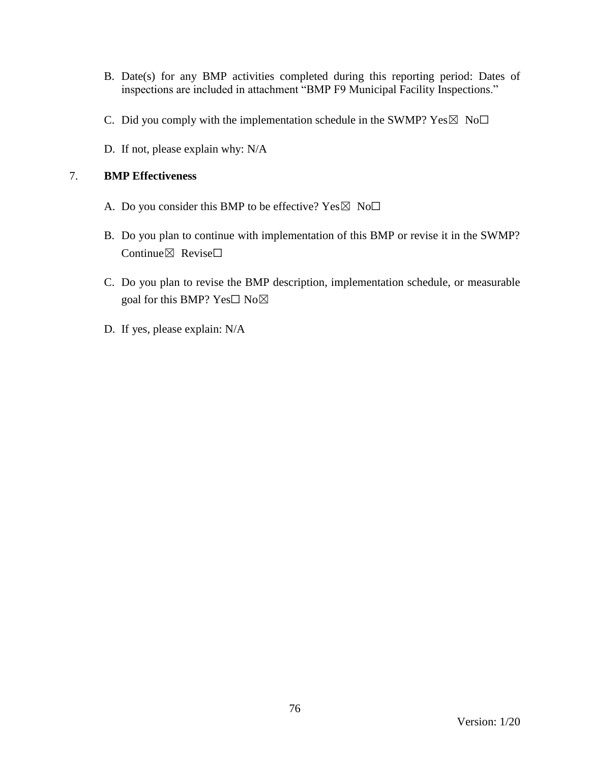- B. Date(s) for any BMP activities completed during this reporting period: Dates of inspections are included in attachment "BMP F9 Municipal Facility Inspections."
- C. Did you comply with the implementation schedule in the SWMP?  $Yes \boxtimes No \Box$
- D. If not, please explain why: N/A

# 7. **BMP Effectiveness**

- A. Do you consider this BMP to be effective? Yes  $\boxtimes$  No $\Box$
- B. Do you plan to continue with implementation of this BMP or revise it in the SWMP? Continue $\boxtimes$  Revise $\Box$
- C. Do you plan to revise the BMP description, implementation schedule, or measurable goal for this BMP? Yes□ No⊠
- D. If yes, please explain: N/A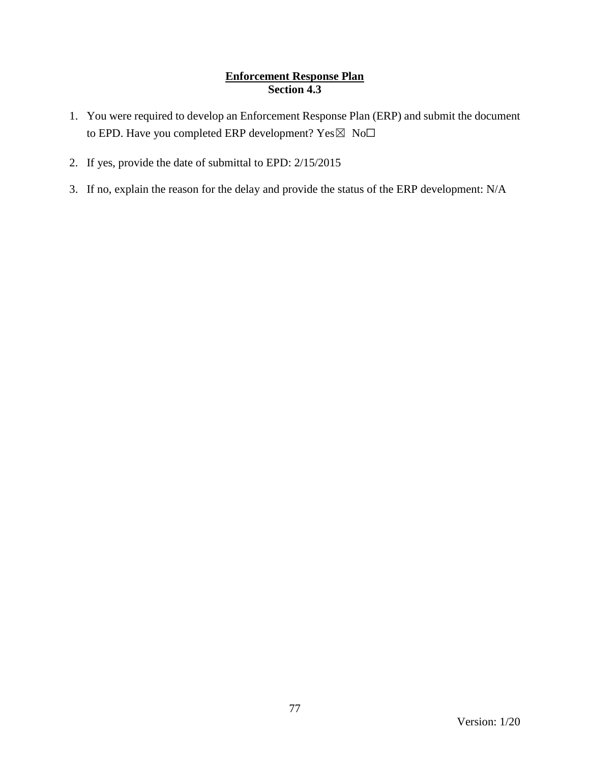# **Enforcement Response Plan Section 4.3**

- 1. You were required to develop an Enforcement Response Plan (ERP) and submit the document to EPD. Have you completed ERP development? Yes⊠ No□
- 2. If yes, provide the date of submittal to EPD: 2/15/2015
- 3. If no, explain the reason for the delay and provide the status of the ERP development: N/A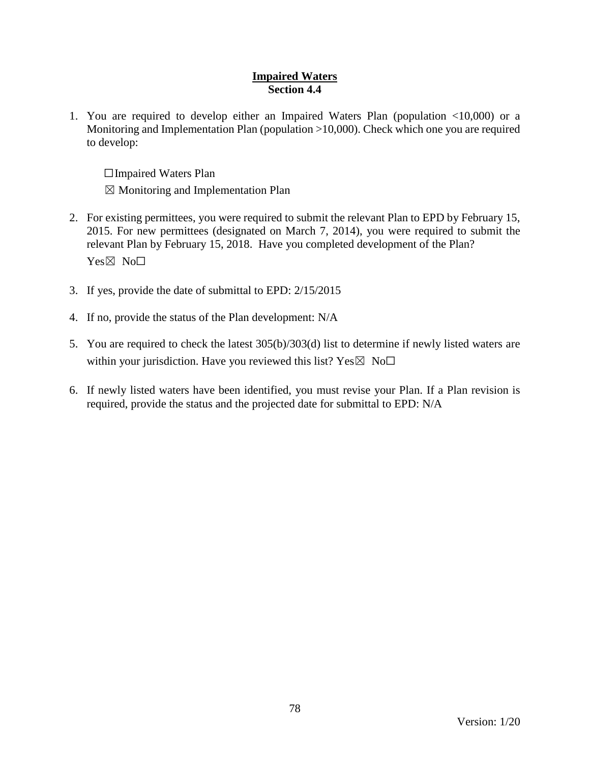### **Impaired Waters Section 4.4**

1. You are required to develop either an Impaired Waters Plan (population <10,000) or a Monitoring and Implementation Plan (population >10,000). Check which one you are required to develop:

☐Impaired Waters Plan

 $\boxtimes$  Monitoring and Implementation Plan

- 2. For existing permittees, you were required to submit the relevant Plan to EPD by February 15, 2015. For new permittees (designated on March 7, 2014), you were required to submit the relevant Plan by February 15, 2018. Have you completed development of the Plan? Yes⊠ No<sub>□</sub>
- 3. If yes, provide the date of submittal to EPD: 2/15/2015
- 4. If no, provide the status of the Plan development: N/A
- 5. You are required to check the latest 305(b)/303(d) list to determine if newly listed waters are within your jurisdiction. Have you reviewed this list?  $Yes \boxtimes No\square$
- 6. If newly listed waters have been identified, you must revise your Plan. If a Plan revision is required, provide the status and the projected date for submittal to EPD: N/A